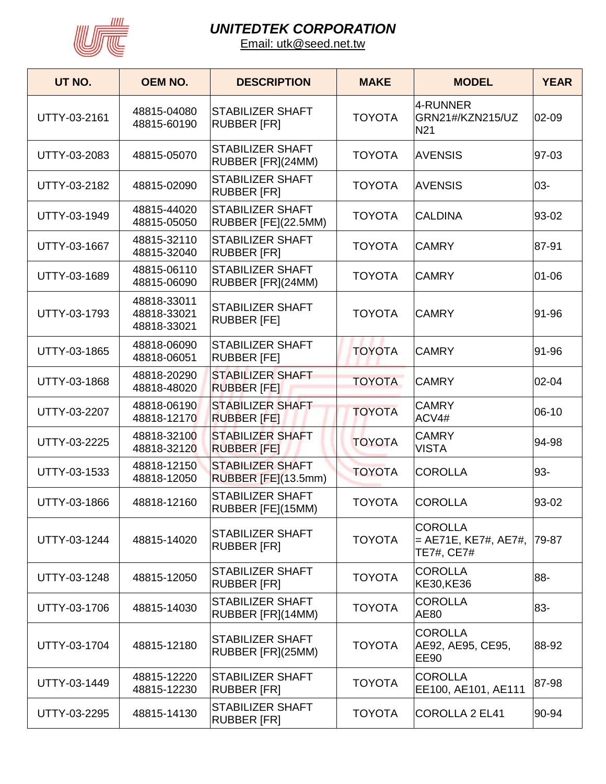

| UT NO.       | <b>OEM NO.</b>                            | <b>DESCRIPTION</b>                             | <b>MAKE</b>   | <b>MODEL</b>                                                    | <b>YEAR</b> |
|--------------|-------------------------------------------|------------------------------------------------|---------------|-----------------------------------------------------------------|-------------|
| UTTY-03-2161 | 48815-04080<br>48815-60190                | <b>STABILIZER SHAFT</b><br><b>RUBBER [FR]</b>  | <b>TOYOTA</b> | 4-RUNNER<br>GRN21#/KZN215/UZ<br>N <sub>21</sub>                 | 02-09       |
| UTTY-03-2083 | 48815-05070                               | <b>STABILIZER SHAFT</b><br>RUBBER [FR](24MM)   | <b>TOYOTA</b> | <b>AVENSIS</b>                                                  | 97-03       |
| UTTY-03-2182 | 48815-02090                               | <b>STABILIZER SHAFT</b><br><b>RUBBER [FR]</b>  | <b>TOYOTA</b> | <b>AVENSIS</b>                                                  | 03-         |
| UTTY-03-1949 | 48815-44020<br>48815-05050                | <b>STABILIZER SHAFT</b><br>RUBBER [FE](22.5MM) | <b>TOYOTA</b> | <b>CALDINA</b>                                                  | 93-02       |
| UTTY-03-1667 | 48815-32110<br>48815-32040                | <b>STABILIZER SHAFT</b><br><b>RUBBER [FR]</b>  | <b>TOYOTA</b> | <b>CAMRY</b>                                                    | 87-91       |
| UTTY-03-1689 | 48815-06110<br>48815-06090                | <b>STABILIZER SHAFT</b><br>RUBBER [FR](24MM)   | <b>TOYOTA</b> | <b>CAMRY</b>                                                    | $01 - 06$   |
| UTTY-03-1793 | 48818-33011<br>48818-33021<br>48818-33021 | <b>STABILIZER SHAFT</b><br><b>RUBBER [FE]</b>  | <b>TOYOTA</b> | <b>CAMRY</b>                                                    | 91-96       |
| UTTY-03-1865 | 48818-06090<br>48818-06051                | <b>STABILIZER SHAFT</b><br><b>RUBBER [FE]</b>  | <b>TOYOTA</b> | <b>CAMRY</b>                                                    | 91-96       |
| UTTY-03-1868 | 48818-20290<br>48818-48020                | <b>STABILIZER SHAFT</b><br><b>RUBBER [FE]</b>  | <b>TOYOTA</b> | <b>CAMRY</b>                                                    | 02-04       |
| UTTY-03-2207 | 48818-06190<br>48818-12170                | <b>STABILIZER SHAFT</b><br><b>RUBBER [FE]</b>  | <b>TOYOTA</b> | <b>CAMRY</b><br>ACV4#                                           | 06-10       |
| UTTY-03-2225 | 48818-32100<br>48818-32120                | <b>STABILIZER SHAFT</b><br><b>RUBBER [FE]</b>  | <b>TOYOTA</b> | <b>CAMRY</b><br><b>VISTA</b>                                    | 94-98       |
| UTTY-03-1533 | 48818-12150<br>48818-12050                | <b>STABILIZER SHAFT</b><br>RUBBER [FE](13.5mm) | <b>TOYOTA</b> | <b>COROLLA</b>                                                  | 93-         |
| UTTY-03-1866 | 48818-12160                               | <b>STABILIZER SHAFT</b><br>RUBBER [FE](15MM)   | <b>TOYOTA</b> | <b>COROLLA</b>                                                  | 93-02       |
| UTTY-03-1244 | 48815-14020                               | <b>STABILIZER SHAFT</b><br><b>RUBBER [FR]</b>  | <b>TOYOTA</b> | <b>COROLLA</b><br>$=$ AE71E, KE7#, AE7#, $ 79-87$<br>TE7#, CE7# |             |
| UTTY-03-1248 | 48815-12050                               | <b>STABILIZER SHAFT</b><br><b>RUBBER [FR]</b>  | <b>TOYOTA</b> | <b>COROLLA</b><br>KE30, KE36                                    | 88-         |
| UTTY-03-1706 | 48815-14030                               | STABILIZER SHAFT<br>RUBBER [FR](14MM)          | <b>TOYOTA</b> | <b>COROLLA</b><br>AE80                                          | 83-         |
| UTTY-03-1704 | 48815-12180                               | <b>STABILIZER SHAFT</b><br>RUBBER [FR](25MM)   | <b>TOYOTA</b> | <b>COROLLA</b><br>AE92, AE95, CE95,<br><b>EE90</b>              | 88-92       |
| UTTY-03-1449 | 48815-12220<br>48815-12230                | <b>STABILIZER SHAFT</b><br><b>RUBBER [FR]</b>  | <b>TOYOTA</b> | <b>COROLLA</b><br>EE100, AE101, AE111                           | 87-98       |
| UTTY-03-2295 | 48815-14130                               | STABILIZER SHAFT<br><b>RUBBER [FR]</b>         | <b>TOYOTA</b> | COROLLA 2 EL41                                                  | 90-94       |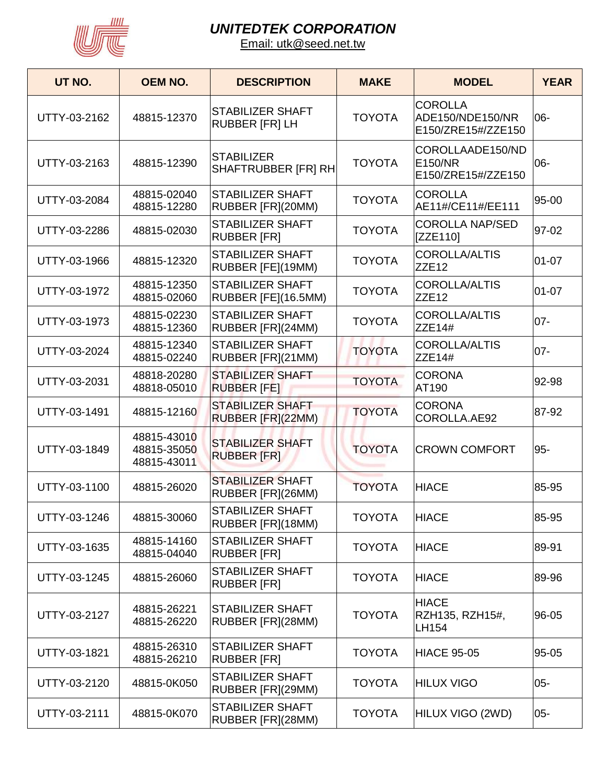

| UT NO.       | <b>OEM NO.</b>                            | <b>DESCRIPTION</b>                               | <b>MAKE</b>   | <b>MODEL</b>                                             | <b>YEAR</b> |
|--------------|-------------------------------------------|--------------------------------------------------|---------------|----------------------------------------------------------|-------------|
| UTTY-03-2162 | 48815-12370                               | <b>STABILIZER SHAFT</b><br><b>RUBBER [FR] LH</b> | <b>TOYOTA</b> | <b>COROLLA</b><br>ADE150/NDE150/NR<br>E150/ZRE15#/ZZE150 | 06-         |
| UTTY-03-2163 | 48815-12390                               | <b>STABILIZER</b><br>SHAFTRUBBER [FR] RH         | <b>TOYOTA</b> | COROLLAADE150/ND<br>E150/NR<br>E150/ZRE15#/ZZE150        | 06-         |
| UTTY-03-2084 | 48815-02040<br>48815-12280                | <b>STABILIZER SHAFT</b><br>RUBBER [FR](20MM)     | <b>TOYOTA</b> | <b>COROLLA</b><br>AE11#/CE11#/EE111                      | 95-00       |
| UTTY-03-2286 | 48815-02030                               | <b>STABILIZER SHAFT</b><br><b>RUBBER [FR]</b>    | <b>TOYOTA</b> | <b>COROLLA NAP/SED</b><br>IZZE110]                       | 97-02       |
| UTTY-03-1966 | 48815-12320                               | <b>STABILIZER SHAFT</b><br>RUBBER [FE](19MM)     | <b>TOYOTA</b> | <b>COROLLA/ALTIS</b><br>ZZE12                            | $01 - 07$   |
| UTTY-03-1972 | 48815-12350<br>48815-02060                | <b>STABILIZER SHAFT</b><br>RUBBER [FE](16.5MM)   | <b>TOYOTA</b> | <b>COROLLA/ALTIS</b><br>ZZE <sub>12</sub>                | 01-07       |
| UTTY-03-1973 | 48815-02230<br>48815-12360                | STABILIZER SHAFT<br>RUBBER [FR](24MM)            | <b>TOYOTA</b> | <b>COROLLA/ALTIS</b><br><b>ZZE14#</b>                    | $07 -$      |
| UTTY-03-2024 | 48815-12340<br>48815-02240                | <b>STABILIZER SHAFT</b><br>RUBBER [FR](21MM)     | <b>TOYOTA</b> | <b>COROLLA/ALTIS</b><br><b>ZZE14#</b>                    | $07 -$      |
| UTTY-03-2031 | 48818-20280<br>48818-05010                | <b>STABILIZER SHAFT</b><br><b>RUBBER [FE]</b>    | <b>TOYOTA</b> | <b>CORONA</b><br>AT190                                   | 92-98       |
| UTTY-03-1491 | 48815-12160                               | <b>STABILIZER SHAFT</b><br>RUBBER [FR](22MM)     | <b>TOYOTA</b> | <b>CORONA</b><br>COROLLA.AE92                            | 87-92       |
| UTTY-03-1849 | 48815-43010<br>48815-35050<br>48815-43011 | <b>STABILIZER SHAFT</b><br><b>RUBBER [FR]</b>    | <b>TOYOTA</b> | <b>CROWN COMFORT</b>                                     | 95-         |
| UTTY-03-1100 | 48815-26020                               | <b>STABILIZER SHAFT</b><br>RUBBER [FR](26MM)     | <b>TOYOTA</b> | <b>HIACE</b>                                             | 85-95       |
| UTTY-03-1246 | 48815-30060                               | STABILIZER SHAFT<br>RUBBER [FR](18MM)            | <b>TOYOTA</b> | <b>HIACE</b>                                             | 85-95       |
| UTTY-03-1635 | 48815-14160<br>48815-04040                | STABILIZER SHAFT<br><b>RUBBER [FR]</b>           | <b>TOYOTA</b> | <b>HIACE</b>                                             | 89-91       |
| UTTY-03-1245 | 48815-26060                               | <b>STABILIZER SHAFT</b><br><b>RUBBER [FR]</b>    | <b>TOYOTA</b> | <b>HIACE</b>                                             | 89-96       |
| UTTY-03-2127 | 48815-26221<br>48815-26220                | <b>STABILIZER SHAFT</b><br>RUBBER [FR](28MM)     | <b>TOYOTA</b> | <b>HIACE</b><br>RZH135, RZH15#,<br>LH154                 | 96-05       |
| UTTY-03-1821 | 48815-26310<br>48815-26210                | STABILIZER SHAFT<br><b>RUBBER [FR]</b>           | <b>TOYOTA</b> | <b>HIACE 95-05</b>                                       | 95-05       |
| UTTY-03-2120 | 48815-0K050                               | STABILIZER SHAFT<br>RUBBER [FR](29MM)            | <b>TOYOTA</b> | Hilux Vigo                                               | $05 -$      |
| UTTY-03-2111 | 48815-0K070                               | STABILIZER SHAFT<br>RUBBER [FR](28MM)            | <b>TOYOTA</b> | HILUX VIGO (2WD)                                         | $05-$       |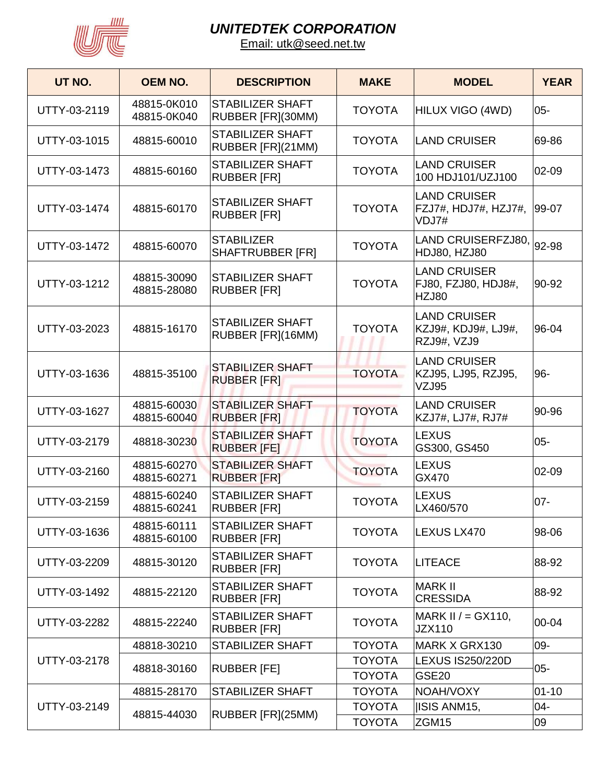

| UT NO.       | <b>OEM NO.</b>             | <b>DESCRIPTION</b>                            | <b>MAKE</b>                    | <b>MODEL</b>                                               | <b>YEAR</b> |
|--------------|----------------------------|-----------------------------------------------|--------------------------------|------------------------------------------------------------|-------------|
| UTTY-03-2119 | 48815-0K010<br>48815-0K040 | <b>STABILIZER SHAFT</b><br>RUBBER [FR](30MM)  | <b>TOYOTA</b>                  | HILUX VIGO (4WD)                                           | $05 -$      |
| UTTY-03-1015 | 48815-60010                | <b>STABILIZER SHAFT</b><br>RUBBER [FR](21MM)  | <b>TOYOTA</b>                  | LAND CRUISER                                               | 69-86       |
| UTTY-03-1473 | 48815-60160                | <b>STABILIZER SHAFT</b><br><b>RUBBER [FR]</b> | <b>TOYOTA</b>                  | <b>LAND CRUISER</b><br>100 HDJ101/UZJ100                   | 02-09       |
| UTTY-03-1474 | 48815-60170                | <b>STABILIZER SHAFT</b><br><b>RUBBER [FR]</b> | <b>TOYOTA</b>                  | <b>LAND CRUISER</b><br>FZJ7#, HDJ7#, HZJ7#,<br>VDJ7#       | 99-07       |
| UTTY-03-1472 | 48815-60070                | <b>STABILIZER</b><br><b>SHAFTRUBBER [FR]</b>  | <b>TOYOTA</b>                  | LAND CRUISERFZJ80, 92-98<br>HDJ80, HZJ80                   |             |
| UTTY-03-1212 | 48815-30090<br>48815-28080 | <b>STABILIZER SHAFT</b><br><b>RUBBER [FR]</b> | <b>TOYOTA</b>                  | <b>LAND CRUISER</b><br>FJ80, FZJ80, HDJ8#,<br><b>HZJ80</b> | 90-92       |
| UTTY-03-2023 | 48815-16170                | <b>STABILIZER SHAFT</b><br>RUBBER [FR](16MM)  | <b>TOYOTA</b>                  | <b>LAND CRUISER</b><br>KZJ9#, KDJ9#, LJ9#,<br>RZJ9#, VZJ9  | 96-04       |
| UTTY-03-1636 | 48815-35100                | <b>STABILIZER SHAFT</b><br><b>RUBBER [FR]</b> | <b>TOYOTA</b>                  | <b>LAND CRUISER</b><br>KZJ95, LJ95, RZJ95,<br>VZJ95        | 96-         |
| UTTY-03-1627 | 48815-60030<br>48815-60040 | <b>STABILIZER SHAFT</b><br><b>RUBBER [FR]</b> | <b>TOYOTA</b>                  | <b>LAND CRUISER</b><br>KZJ7#, LJ7#, RJ7#                   | 90-96       |
| UTTY-03-2179 | 48818-30230                | <b>STABILIZER SHAFT</b><br><b>RUBBER [FE]</b> | <b>TOYOTA</b>                  | <b>LEXUS</b><br>GS300, GS450                               | $05 -$      |
| UTTY-03-2160 | 48815-60270<br>48815-60271 | <b>STABILIZER SHAFT</b><br><b>RUBBER [FR]</b> | <b>TOYOTA</b>                  | <b>LEXUS</b><br>GX470                                      | 02-09       |
| UTTY-03-2159 | 48815-60240<br>48815-60241 | <b>STABILIZER SHAFT</b><br><b>RUBBER [FR]</b> | <b>TOYOTA</b>                  | <b>LEXUS</b><br>LX460/570                                  | $07 -$      |
| UTTY-03-1636 | 48815-60111<br>48815-60100 | <b>STABILIZER SHAFT</b><br><b>RUBBER [FR]</b> | <b>TOYOTA</b>                  | LEXUS LX470                                                | 98-06       |
| UTTY-03-2209 | 48815-30120                | <b>STABILIZER SHAFT</b><br><b>RUBBER [FR]</b> | <b>TOYOTA</b>                  | <b>LITEACE</b>                                             | 88-92       |
| UTTY-03-1492 | 48815-22120                | <b>STABILIZER SHAFT</b><br><b>RUBBER [FR]</b> | <b>TOYOTA</b>                  | <b>MARK II</b><br><b>CRESSIDA</b>                          | 88-92       |
| UTTY-03-2282 | 48815-22240                | <b>STABILIZER SHAFT</b><br><b>RUBBER [FR]</b> | <b>TOYOTA</b>                  | MARK II $/ = GX110$ ,<br><b>JZX110</b>                     | 00-04       |
|              | 48818-30210                | <b>STABILIZER SHAFT</b>                       | <b>TOYOTA</b>                  | MARK X GRX130                                              | 09-         |
| UTTY-03-2178 | 48818-30160                | <b>RUBBER [FE]</b>                            | <b>TOYOTA</b><br><b>TOYOTA</b> | <b>LEXUS IS250/220D</b><br><b>GSE20</b>                    | $05 -$      |
|              | 48815-28170                | <b>STABILIZER SHAFT</b>                       | <b>TOYOTA</b>                  | NOAH/VOXY                                                  | $01 - 10$   |
| UTTY-03-2149 | 48815-44030                | RUBBER [FR](25MM)                             | <b>TOYOTA</b>                  | ISIS ANM15,                                                | $04 -$      |
|              |                            |                                               | <b>TOYOTA</b>                  | ZGM15                                                      | 09          |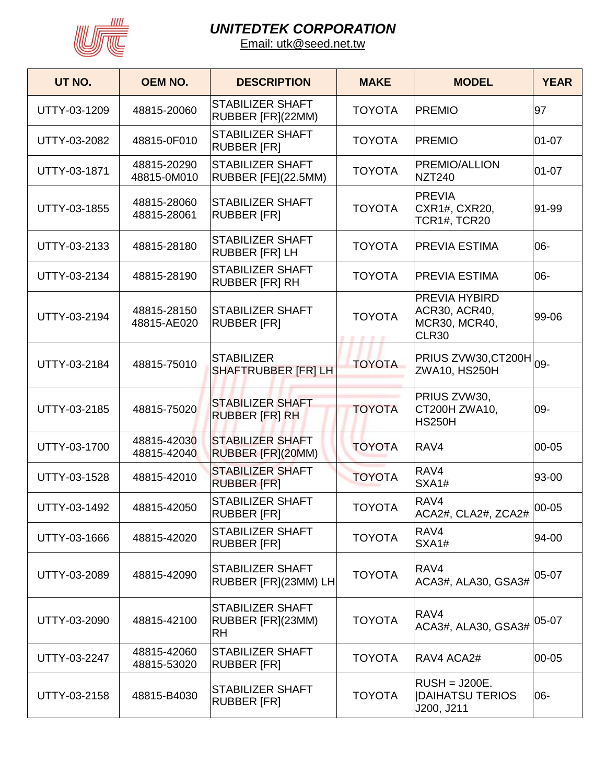

| UT NO.       | <b>OEM NO.</b>             | <b>DESCRIPTION</b>                                        | <b>MAKE</b>   | <b>MODEL</b>                                                           | <b>YEAR</b> |
|--------------|----------------------------|-----------------------------------------------------------|---------------|------------------------------------------------------------------------|-------------|
| UTTY-03-1209 | 48815-20060                | STABILIZER SHAFT<br>RUBBER [FR](22MM)                     | <b>TOYOTA</b> | <b>PREMIO</b>                                                          | 97          |
| UTTY-03-2082 | 48815-0F010                | <b>STABILIZER SHAFT</b><br><b>RUBBER [FR]</b>             | <b>TOYOTA</b> | <b>PREMIO</b>                                                          | $01 - 07$   |
| UTTY-03-1871 | 48815-20290<br>48815-0M010 | <b>STABILIZER SHAFT</b><br>RUBBER [FE](22.5MM)            | <b>TOYOTA</b> | PREMIO/ALLION<br><b>NZT240</b>                                         | $01 - 07$   |
| UTTY-03-1855 | 48815-28060<br>48815-28061 | <b>STABILIZER SHAFT</b><br><b>RUBBER [FR]</b>             | <b>TOYOTA</b> | <b>PREVIA</b><br>CXR1#, CXR20,<br>TCR1#, TCR20                         | 91-99       |
| UTTY-03-2133 | 48815-28180                | <b>STABILIZER SHAFT</b><br>RUBBER [FR] LH                 | <b>TOYOTA</b> | <b>PREVIA ESTIMA</b>                                                   | 06-         |
| UTTY-03-2134 | 48815-28190                | <b>STABILIZER SHAFT</b><br><b>RUBBER [FR] RH</b>          | <b>TOYOTA</b> | <b>PREVIA ESTIMA</b>                                                   | 06-         |
| UTTY-03-2194 | 48815-28150<br>48815-AE020 | <b>STABILIZER SHAFT</b><br><b>RUBBER [FR]</b>             | <b>TOYOTA</b> | PREVIA HYBIRD<br><b>ACR30, ACR40,</b><br>MCR30, MCR40,<br><b>CLR30</b> | 99-06       |
| UTTY-03-2184 | 48815-75010                | <b>STABILIZER</b><br>SHAFTRUBBER [FR] LH                  | <b>TOYOTA</b> | PRIUS ZVW30,CT200H  <sub>09-</sub><br><b>ZWA10, HS250H</b>             |             |
| UTTY-03-2185 | 48815-75020                | <b>STABILIZER SHAFT</b><br><b>RUBBER [FR] RH</b>          | <b>TOYOTA</b> | PRIUS ZVW30,<br>CT200H ZWA10,<br><b>HS250H</b>                         | 09-         |
| UTTY-03-1700 | 48815-42030<br>48815-42040 | <b>STABILIZER SHAFT</b><br>RUBBER [FR](20MM)              | <b>TOYOTA</b> | RAV4                                                                   | 00-05       |
| UTTY-03-1528 | 48815-42010                | <b>STABILIZER SHAFT</b><br><b>RUBBER [FR]</b>             | <b>TOYOTA</b> | RAV4<br>SXA1#                                                          | 93-00       |
| UTTY-03-1492 | 48815-42050                | <b>STABILIZER SHAFT</b><br><b>RUBBER [FR]</b>             | <b>TOYOTA</b> | RAV4<br>ACA2#, CLA2#, ZCA2#                                            | 100-05      |
| UTTY-03-1666 | 48815-42020                | <b>STABILIZER SHAFT</b><br><b>RUBBER [FR]</b>             | <b>TOYOTA</b> | RAV4<br>SXA1#                                                          | 94-00       |
| UTTY-03-2089 | 48815-42090                | STABILIZER SHAFT<br>RUBBER [FR](23MM) LH                  | <b>TOYOTA</b> | RAV4<br>ACA3#, ALA30, GSA3#                                            | 05-07       |
| UTTY-03-2090 | 48815-42100                | <b>STABILIZER SHAFT</b><br>RUBBER [FR](23MM)<br><b>RH</b> | <b>TOYOTA</b> | RAV4<br>ACA3#, ALA30, GSA3#                                            | 05-07       |
| UTTY-03-2247 | 48815-42060<br>48815-53020 | <b>STABILIZER SHAFT</b><br><b>RUBBER [FR]</b>             | <b>TOYOTA</b> | RAV4 ACA2#                                                             | 00-05       |
| UTTY-03-2158 | 48815-B4030                | <b>STABILIZER SHAFT</b><br><b>RUBBER [FR]</b>             | <b>TOYOTA</b> | $RUSH = J200E.$<br><b>DAIHATSU TERIOS</b><br>J200, J211                | 06-         |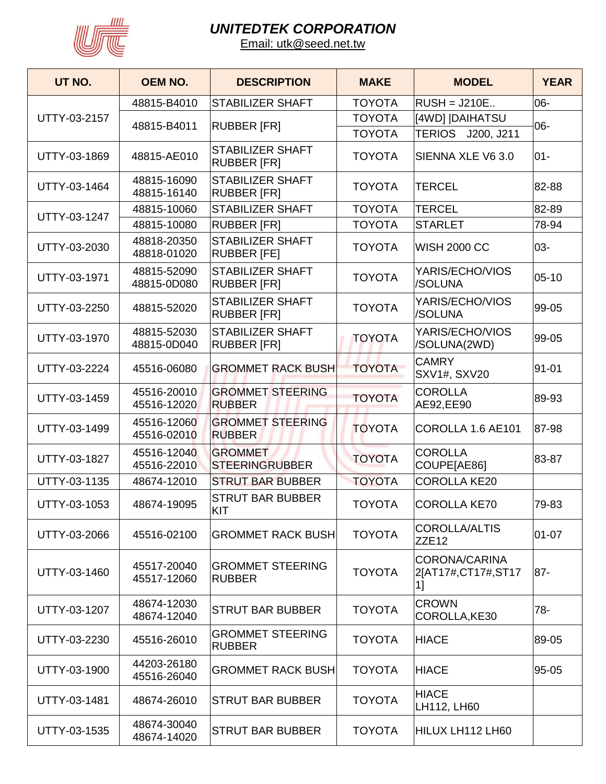

| UT NO.       | <b>OEM NO.</b>             | <b>DESCRIPTION</b>                            | <b>MAKE</b>   | <b>MODEL</b>                                     | <b>YEAR</b> |
|--------------|----------------------------|-----------------------------------------------|---------------|--------------------------------------------------|-------------|
|              | 48815-B4010                | <b>STABILIZER SHAFT</b>                       | <b>TOYOTA</b> | $RUSH = J210E.$                                  | 06-         |
| UTTY-03-2157 | 48815-B4011                | <b>RUBBER [FR]</b>                            | <b>TOYOTA</b> | [4WD]  DAIHATSU                                  | 06-         |
|              |                            |                                               | <b>TOYOTA</b> | TERIOS J200, J211                                |             |
| UTTY-03-1869 | 48815-AE010                | <b>STABILIZER SHAFT</b><br><b>RUBBER [FR]</b> | <b>TOYOTA</b> | SIENNA XLE V6 3.0                                | $01 -$      |
| UTTY-03-1464 | 48815-16090<br>48815-16140 | <b>STABILIZER SHAFT</b><br><b>RUBBER [FR]</b> | <b>TOYOTA</b> | <b>TERCEL</b>                                    | 82-88       |
| UTTY-03-1247 | 48815-10060                | <b>STABILIZER SHAFT</b>                       | <b>TOYOTA</b> | <b>TERCEL</b>                                    | 82-89       |
|              | 48815-10080                | <b>RUBBER [FR]</b>                            | <b>TOYOTA</b> | <b>STARLET</b>                                   | 78-94       |
| UTTY-03-2030 | 48818-20350<br>48818-01020 | <b>STABILIZER SHAFT</b><br><b>RUBBER [FE]</b> | <b>TOYOTA</b> | <b>WISH 2000 CC</b>                              | 03-         |
| UTTY-03-1971 | 48815-52090<br>48815-0D080 | <b>STABILIZER SHAFT</b><br><b>RUBBER [FR]</b> | <b>TOYOTA</b> | YARIS/ECHO/VIOS<br>/SOLUNA                       | $05-10$     |
| UTTY-03-2250 | 48815-52020                | <b>STABILIZER SHAFT</b><br><b>RUBBER [FR]</b> | <b>TOYOTA</b> | YARIS/ECHO/VIOS<br>/SOLUNA                       | 99-05       |
| UTTY-03-1970 | 48815-52030<br>48815-0D040 | <b>STABILIZER SHAFT</b><br><b>RUBBER [FR]</b> | <b>TOYOTA</b> | YARIS/ECHO/VIOS<br>/SOLUNA(2WD)                  | 99-05       |
| UTTY-03-2224 | 45516-06080                | <b>GROMMET RACK BUSH</b>                      | <b>TOYOTA</b> | <b>CAMRY</b><br>SXV1#, SXV20                     | $91 - 01$   |
| UTTY-03-1459 | 45516-20010<br>45516-12020 | <b>GROMMET STEERING</b><br><b>RUBBER</b>      | <b>TOYOTA</b> | <b>COROLLA</b><br>AE92, EE90                     | 89-93       |
| UTTY-03-1499 | 45516-12060<br>45516-02010 | <b>GROMMET STEERING</b><br><b>RUBBER</b>      | <b>TOYOTA</b> | COROLLA 1.6 AE101                                | 87-98       |
| UTTY-03-1827 | 45516-12040<br>45516-22010 | <b>GROMMET</b><br><b>STEERINGRUBBER</b>       | <b>TOYOTA</b> | <b>COROLLA</b><br>COUPE[AE86]                    | 83-87       |
| UTTY-03-1135 | 48674-12010                | <b>STRUT BAR BUBBER</b>                       | <b>TOYOTA</b> | <b>COROLLA KE20</b>                              |             |
| UTTY-03-1053 | 48674-19095                | <b>STRUT BAR BUBBER</b><br><b>KIT</b>         | <b>TOYOTA</b> | <b>COROLLA KE70</b>                              | 79-83       |
| UTTY-03-2066 | 45516-02100                | <b>GROMMET RACK BUSH</b>                      | <b>TOYOTA</b> | <b>COROLLA/ALTIS</b><br>ZZE <sub>12</sub>        | $01 - 07$   |
| UTTY-03-1460 | 45517-20040<br>45517-12060 | <b>GROMMET STEERING</b><br><b>RUBBER</b>      | <b>TOYOTA</b> | <b>CORONA/CARINA</b><br>2[AT17#,CT17#,ST17<br>1] | $87 -$      |
| UTTY-03-1207 | 48674-12030<br>48674-12040 | <b>STRUT BAR BUBBER</b>                       | <b>TOYOTA</b> | <b>CROWN</b><br>COROLLA, KE30                    | $78 -$      |
| UTTY-03-2230 | 45516-26010                | <b>GROMMET STEERING</b><br><b>RUBBER</b>      | <b>TOYOTA</b> | <b>HIACE</b>                                     | 89-05       |
| UTTY-03-1900 | 44203-26180<br>45516-26040 | <b>GROMMET RACK BUSH</b>                      | <b>TOYOTA</b> | <b>HIACE</b>                                     | 95-05       |
| UTTY-03-1481 | 48674-26010                | <b>STRUT BAR BUBBER</b>                       | <b>TOYOTA</b> | <b>HIACE</b><br>LH112, LH60                      |             |
| UTTY-03-1535 | 48674-30040<br>48674-14020 | <b>STRUT BAR BUBBER</b>                       | <b>TOYOTA</b> | HILUX LH112 LH60                                 |             |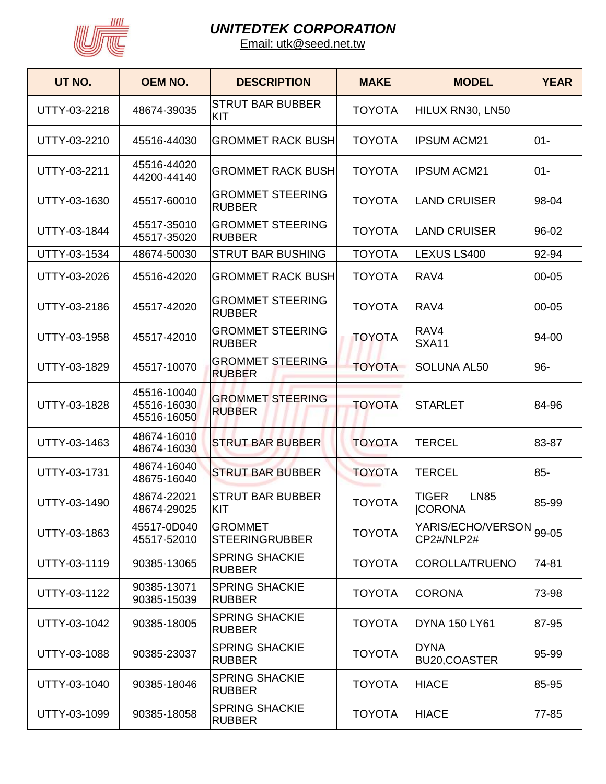

| UT NO.       | <b>OEM NO.</b>                            | <b>DESCRIPTION</b>                       | <b>MAKE</b>   | <b>MODEL</b>                                 | <b>YEAR</b> |
|--------------|-------------------------------------------|------------------------------------------|---------------|----------------------------------------------|-------------|
| UTTY-03-2218 | 48674-39035                               | <b>STRUT BAR BUBBER</b><br>KIT           | <b>TOYOTA</b> | HILUX RN30, LN50                             |             |
| UTTY-03-2210 | 45516-44030                               | <b>GROMMET RACK BUSH</b>                 | <b>TOYOTA</b> | <b>IPSUM ACM21</b>                           | $01 -$      |
| UTTY-03-2211 | 45516-44020<br>44200-44140                | <b>GROMMET RACK BUSH</b>                 | <b>TOYOTA</b> | <b>IPSUM ACM21</b>                           | $01 -$      |
| UTTY-03-1630 | 45517-60010                               | <b>GROMMET STEERING</b><br><b>RUBBER</b> | <b>TOYOTA</b> | <b>LAND CRUISER</b>                          | 98-04       |
| UTTY-03-1844 | 45517-35010<br>45517-35020                | <b>GROMMET STEERING</b><br><b>RUBBER</b> | <b>TOYOTA</b> | <b>LAND CRUISER</b>                          | 96-02       |
| UTTY-03-1534 | 48674-50030                               | <b>STRUT BAR BUSHING</b>                 | <b>TOYOTA</b> | LEXUS LS400                                  | 92-94       |
| UTTY-03-2026 | 45516-42020                               | <b>GROMMET RACK BUSH</b>                 | <b>TOYOTA</b> | RAV4                                         | 00-05       |
| UTTY-03-2186 | 45517-42020                               | <b>GROMMET STEERING</b><br><b>RUBBER</b> | <b>TOYOTA</b> | RAV4                                         | 00-05       |
| UTTY-03-1958 | 45517-42010                               | <b>GROMMET STEERING</b><br><b>RUBBER</b> | <b>TOYOTA</b> | RAV4<br>SXA11                                | 94-00       |
| UTTY-03-1829 | 45517-10070                               | <b>GROMMET STEERING</b><br><b>RUBBER</b> | <b>TOYOTA</b> | <b>SOLUNA AL50</b>                           | 96-         |
| UTTY-03-1828 | 45516-10040<br>45516-16030<br>45516-16050 | <b>GROMMET STEERING</b><br><b>RUBBER</b> | <b>TOYOTA</b> | <b>STARLET</b>                               | 84-96       |
| UTTY-03-1463 | 48674-16010<br>48674-16030                | <b>STRUT BAR BUBBER</b>                  | <b>TOYOTA</b> | TERCEL                                       | 83-87       |
| UTTY-03-1731 | 48674-16040<br>48675-16040                | <b>STRUT BAR BUBBER</b>                  | <b>TOYOTA</b> | <b>TERCEL</b>                                | 85-         |
| UTTY-03-1490 | 48674-22021<br>48674-29025                | <b>STRUT BAR BUBBER</b><br>KIT           | <b>TOYOTA</b> | <b>TIGER</b><br><b>LN85</b><br><b>CORONA</b> | 85-99       |
| UTTY-03-1863 | 45517-0D040<br>45517-52010                | <b>GROMMET</b><br><b>STEERINGRUBBER</b>  | <b>TOYOTA</b> | YARIS/ECHO/VERSON 99-05<br>CP2#/NLP2#        |             |
| UTTY-03-1119 | 90385-13065                               | <b>SPRING SHACKIE</b><br><b>RUBBER</b>   | <b>TOYOTA</b> | COROLLA/TRUENO                               | 74-81       |
| UTTY-03-1122 | 90385-13071<br>90385-15039                | <b>SPRING SHACKIE</b><br><b>RUBBER</b>   | <b>TOYOTA</b> | <b>CORONA</b>                                | 73-98       |
| UTTY-03-1042 | 90385-18005                               | <b>SPRING SHACKIE</b><br><b>RUBBER</b>   | <b>TOYOTA</b> | <b>DYNA 150 LY61</b>                         | 87-95       |
| UTTY-03-1088 | 90385-23037                               | <b>SPRING SHACKIE</b><br><b>RUBBER</b>   | <b>TOYOTA</b> | <b>DYNA</b><br>BU20, COASTER                 | 95-99       |
| UTTY-03-1040 | 90385-18046                               | <b>SPRING SHACKIE</b><br><b>RUBBER</b>   | <b>TOYOTA</b> | <b>HIACE</b>                                 | 85-95       |
| UTTY-03-1099 | 90385-18058                               | <b>SPRING SHACKIE</b><br><b>RUBBER</b>   | <b>TOYOTA</b> | <b>HIACE</b>                                 | 77-85       |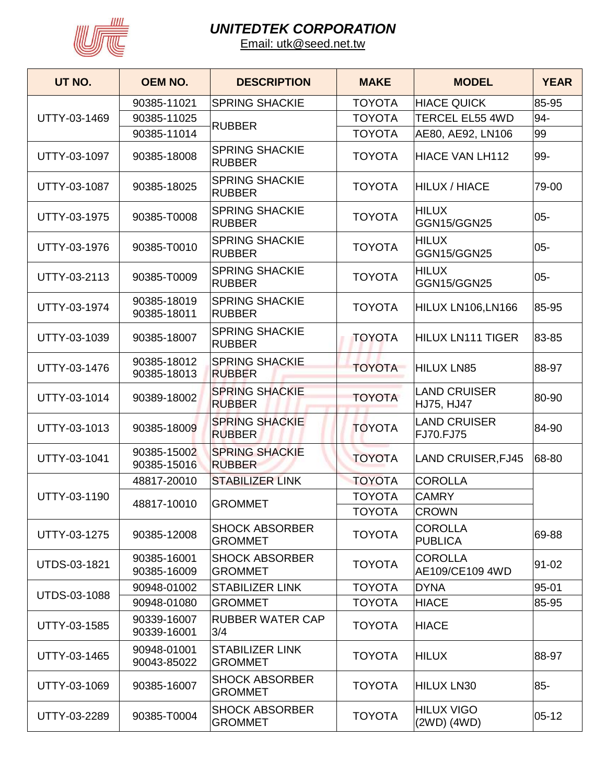

| UT NO.              | <b>OEM NO.</b>             | <b>DESCRIPTION</b>                       | <b>MAKE</b>   | <b>MODEL</b>                                                                          | <b>YEAR</b> |
|---------------------|----------------------------|------------------------------------------|---------------|---------------------------------------------------------------------------------------|-------------|
|                     | 90385-11021                | <b>SPRING SHACKIE</b>                    | <b>TOYOTA</b> | <b>HIACE QUICK</b>                                                                    | 85-95       |
| UTTY-03-1469        | 90385-11025                |                                          | <b>TOYOTA</b> | <b>TERCEL EL55 4WD</b>                                                                | 94-         |
|                     | 90385-11014                | <b>RUBBER</b>                            | <b>TOYOTA</b> | AE80, AE92, LN106                                                                     | 99          |
| UTTY-03-1097        | 90385-18008                | <b>SPRING SHACKIE</b><br><b>RUBBER</b>   | <b>TOYOTA</b> | <b>HIACE VAN LH112</b>                                                                | 99-         |
| UTTY-03-1087        | 90385-18025                | <b>SPRING SHACKIE</b><br><b>RUBBER</b>   | <b>TOYOTA</b> | <b>HILUX / HIACE</b>                                                                  | 79-00       |
| UTTY-03-1975        | 90385-T0008                | <b>SPRING SHACKIE</b><br><b>RUBBER</b>   | <b>TOYOTA</b> | <b>HILUX</b><br>GGN15/GGN25                                                           | $05 -$      |
| UTTY-03-1976        | 90385-T0010                | <b>SPRING SHACKIE</b><br><b>RUBBER</b>   | <b>TOYOTA</b> | <b>HILUX</b><br>GGN15/GGN25                                                           | $05 -$      |
| UTTY-03-2113        | 90385-T0009                | <b>SPRING SHACKIE</b><br><b>RUBBER</b>   | <b>TOYOTA</b> | <b>HILUX</b><br>GGN15/GGN25                                                           | $05-$       |
| UTTY-03-1974        | 90385-18019<br>90385-18011 | <b>SPRING SHACKIE</b><br><b>RUBBER</b>   | <b>TOYOTA</b> | HILUX LN106, LN166                                                                    | 85-95       |
| UTTY-03-1039        | 90385-18007                | <b>SPRING SHACKIE</b><br><b>RUBBER</b>   | <b>TOYOTA</b> | HILUX LN111 TIGER                                                                     | 83-85       |
| UTTY-03-1476        | 90385-18012<br>90385-18013 | <b>SPRING SHACKIE</b><br><b>RUBBER</b>   | <b>TOYOTA</b> | <b>HILUX LN85</b>                                                                     | 88-97       |
| UTTY-03-1014        | 90389-18002                | <b>SPRING SHACKIE</b><br><b>RUBBER</b>   | <b>TOYOTA</b> | <b>LAND CRUISER</b><br>HJ75, HJ47                                                     | 80-90       |
| UTTY-03-1013        | 90385-18009                | <b>SPRING SHACKIE</b><br><b>RUBBER</b>   | <b>TOYOTA</b> | <b>LAND CRUISER</b><br>FJ70.FJ75                                                      | 84-90       |
| UTTY-03-1041        | 90385-15002<br>90385-15016 | <b>SPRING SHACKIE</b><br><b>RUBBER</b>   | <b>TOYOTA</b> | <b>LAND CRUISER, FJ45</b>                                                             | 68-80       |
|                     | 48817-20010                | <b>STABILIZER LINK</b>                   | <b>TOYOTA</b> | <b>COROLLA</b>                                                                        |             |
| UTTY-03-1190        | 48817-10010                | <b>GROMMET</b>                           | <b>TOYOTA</b> | <b>CAMRY</b>                                                                          |             |
|                     |                            |                                          | <b>TOYOTA</b> | <b>CROWN</b><br><b>COROLLA</b><br><b>PUBLICA</b><br><b>COROLLA</b><br>AE109/CE109 4WD |             |
| UTTY-03-1275        | 90385-12008                | <b>SHOCK ABSORBER</b><br><b>GROMMET</b>  | <b>TOYOTA</b> |                                                                                       | 69-88       |
| UTDS-03-1821        | 90385-16001<br>90385-16009 | <b>SHOCK ABSORBER</b><br><b>GROMMET</b>  | <b>TOYOTA</b> |                                                                                       | 91-02       |
|                     | 90948-01002                | <b>STABILIZER LINK</b>                   | <b>TOYOTA</b> | <b>DYNA</b>                                                                           | 95-01       |
| <b>UTDS-03-1088</b> | 90948-01080                | <b>GROMMET</b>                           | <b>TOYOTA</b> | <b>HIACE</b>                                                                          | 85-95       |
| UTTY-03-1585        | 90339-16007<br>90339-16001 | <b>RUBBER WATER CAP</b><br>3/4           | <b>TOYOTA</b> | <b>HIACE</b>                                                                          |             |
| UTTY-03-1465        | 90948-01001<br>90043-85022 | <b>STABILIZER LINK</b><br><b>GROMMET</b> | <b>TOYOTA</b> | <b>HILUX</b>                                                                          | 88-97       |
| UTTY-03-1069        | 90385-16007                | <b>SHOCK ABSORBER</b><br><b>GROMMET</b>  | <b>TOYOTA</b> | <b>HILUX LN30</b>                                                                     | 85-         |
| UTTY-03-2289        | 90385-T0004                | <b>SHOCK ABSORBER</b><br><b>GROMMET</b>  | <b>TOYOTA</b> | <b>HILUX VIGO</b><br>(2WD) (4WD)                                                      | $ 05 - 12 $ |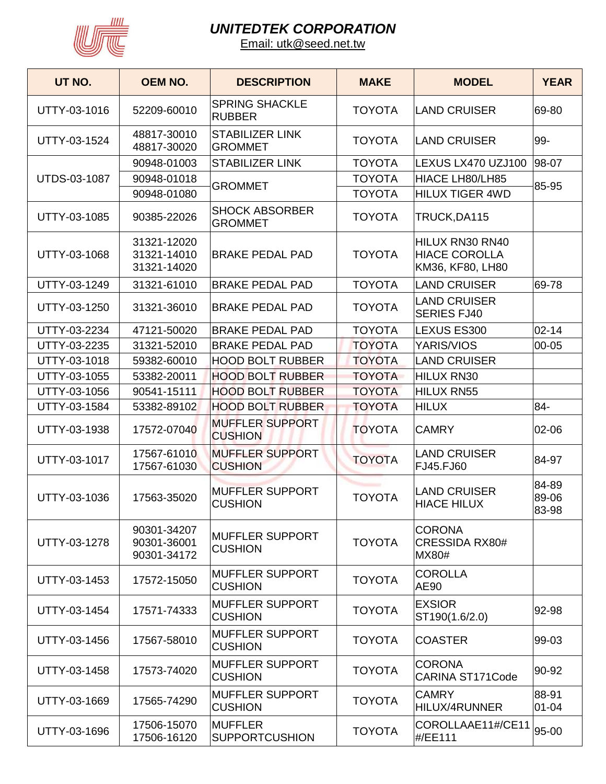

| UT NO.       | <b>OEM NO.</b>                            | <b>DESCRIPTION</b>                       | <b>MAKE</b>   | <b>MODEL</b>                                                | <b>YEAR</b>             |
|--------------|-------------------------------------------|------------------------------------------|---------------|-------------------------------------------------------------|-------------------------|
| UTTY-03-1016 | 52209-60010                               | <b>SPRING SHACKLE</b><br><b>RUBBER</b>   | <b>TOYOTA</b> | <b>LAND CRUISER</b>                                         | 69-80                   |
| UTTY-03-1524 | 48817-30010<br>48817-30020                | <b>STABILIZER LINK</b><br><b>GROMMET</b> | <b>TOYOTA</b> | <b>LAND CRUISER</b>                                         | 99-                     |
|              | 90948-01003                               | <b>STABILIZER LINK</b>                   | <b>TOYOTA</b> | LEXUS LX470 UZJ100                                          | 98-07                   |
| UTDS-03-1087 | 90948-01018                               | <b>GROMMET</b>                           | <b>TOYOTA</b> | HIACE LH80/LH85                                             | 85-95                   |
|              | 90948-01080                               |                                          | <b>TOYOTA</b> | <b>HILUX TIGER 4WD</b>                                      |                         |
| UTTY-03-1085 | 90385-22026                               | <b>SHOCK ABSORBER</b><br><b>GROMMET</b>  | <b>TOYOTA</b> | TRUCK, DA115                                                |                         |
| UTTY-03-1068 | 31321-12020<br>31321-14010<br>31321-14020 | <b>BRAKE PEDAL PAD</b>                   | <b>TOYOTA</b> | HILUX RN30 RN40<br><b>HIACE COROLLA</b><br>KM36, KF80, LH80 |                         |
| UTTY-03-1249 | 31321-61010                               | <b>BRAKE PEDAL PAD</b>                   | <b>TOYOTA</b> | <b>LAND CRUISER</b>                                         | 69-78                   |
| UTTY-03-1250 | 31321-36010                               | <b>BRAKE PEDAL PAD</b>                   | <b>TOYOTA</b> | <b>LAND CRUISER</b><br><b>SERIES FJ40</b>                   |                         |
| UTTY-03-2234 | 47121-50020                               | <b>BRAKE PEDAL PAD</b>                   | <b>TOYOTA</b> | LEXUS ES300                                                 | $02 - 14$               |
| UTTY-03-2235 | 31321-52010                               | <b>BRAKE PEDAL PAD</b>                   | <b>TOYOTA</b> | YARIS/VIOS                                                  | 00-05                   |
| UTTY-03-1018 | 59382-60010                               | <b>HOOD BOLT RUBBER</b>                  | <b>TOYOTA</b> | <b>LAND CRUISER</b>                                         |                         |
| UTTY-03-1055 | 53382-20011                               | <b>HOOD BOLT RUBBER</b>                  | <b>TOYOTA</b> | <b>HILUX RN30</b>                                           |                         |
| UTTY-03-1056 | 90541-15111                               | <b>HOOD BOLT RUBBER</b>                  | <b>TOYOTA</b> | <b>HILUX RN55</b>                                           |                         |
| UTTY-03-1584 | 53382-89102                               | <b>HOOD BOLT RUBBER</b>                  | <b>TOYOTA</b> | <b>HILUX</b>                                                | 84-                     |
| UTTY-03-1938 | 17572-07040                               | <b>MUFFLER SUPPORT</b><br><b>CUSHION</b> | <b>TOYOTA</b> | <b>CAMRY</b>                                                | 02-06                   |
| UTTY-03-1017 | 17567-61010<br>17567-61030                | <b>MUFFLER SUPPORT</b><br><b>CUSHION</b> | <b>TOYOTA</b> | <b>LAND CRUISER</b><br>FJ45.FJ60                            | 84-97                   |
| UTTY-03-1036 | 17563-35020                               | <b>MUFFLER SUPPORT</b><br><b>CUSHION</b> | <b>TOYOTA</b> | <b>LAND CRUISER</b><br><b>HIACE HILUX</b>                   | 84-89<br>89-06<br>83-98 |
| UTTY-03-1278 | 90301-34207<br>90301-36001<br>90301-34172 | <b>MUFFLER SUPPORT</b><br><b>CUSHION</b> | <b>TOYOTA</b> | <b>CORONA</b><br><b>CRESSIDA RX80#</b><br><b>MX80#</b>      |                         |
| UTTY-03-1453 | 17572-15050                               | <b>MUFFLER SUPPORT</b><br><b>CUSHION</b> | <b>TOYOTA</b> | <b>COROLLA</b><br><b>AE90</b>                               |                         |
| UTTY-03-1454 | 17571-74333                               | <b>MUFFLER SUPPORT</b><br><b>CUSHION</b> | <b>TOYOTA</b> | <b>EXSIOR</b><br>ST190(1.6/2.0)                             | 92-98                   |
| UTTY-03-1456 | 17567-58010                               | <b>MUFFLER SUPPORT</b><br><b>CUSHION</b> | <b>TOYOTA</b> | <b>COASTER</b>                                              | 99-03                   |
| UTTY-03-1458 | 17573-74020                               | <b>MUFFLER SUPPORT</b><br><b>CUSHION</b> | <b>TOYOTA</b> | <b>CORONA</b><br><b>CARINA ST171Code</b>                    | 90-92                   |
| UTTY-03-1669 | 17565-74290                               | <b>MUFFLER SUPPORT</b><br><b>CUSHION</b> | <b>TOYOTA</b> | <b>CAMRY</b><br>HILUX/4RUNNER                               | 88-91<br>$01 - 04$      |
| UTTY-03-1696 | 17506-15070<br>17506-16120                | <b>MUFFLER</b><br><b>SUPPORTCUSHION</b>  | <b>TOYOTA</b> | COROLLAAE11#/CE11<br>#/EE111                                | 95-00                   |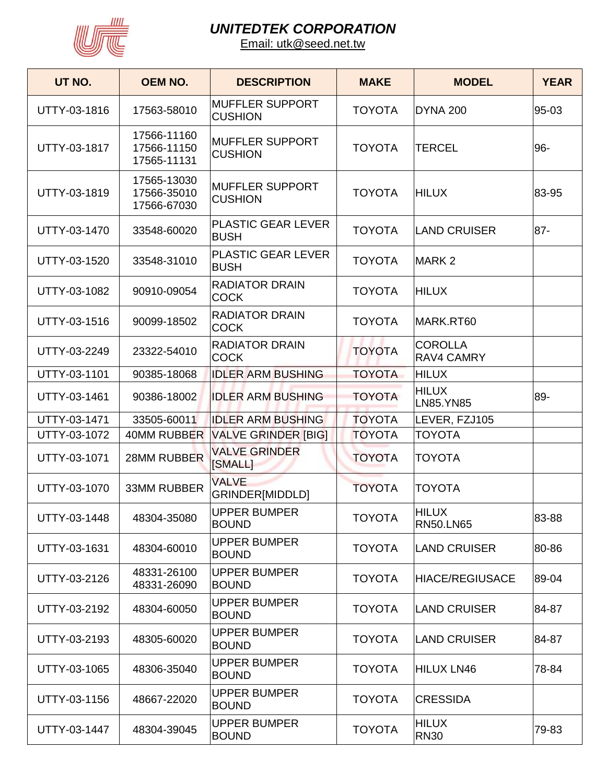

| UT NO.       | <b>OEM NO.</b>                            | <b>DESCRIPTION</b>                       | <b>MAKE</b>   | <b>MODEL</b>                        | <b>YEAR</b> |
|--------------|-------------------------------------------|------------------------------------------|---------------|-------------------------------------|-------------|
| UTTY-03-1816 | 17563-58010                               | <b>MUFFLER SUPPORT</b><br><b>CUSHION</b> | <b>TOYOTA</b> | DYNA 200                            | 95-03       |
| UTTY-03-1817 | 17566-11160<br>17566-11150<br>17565-11131 | <b>MUFFLER SUPPORT</b><br><b>CUSHION</b> | <b>TOYOTA</b> | <b>TERCEL</b>                       | 96-         |
| UTTY-03-1819 | 17565-13030<br>17566-35010<br>17566-67030 | <b>MUFFLER SUPPORT</b><br><b>CUSHION</b> | <b>TOYOTA</b> | HILUX                               | 83-95       |
| UTTY-03-1470 | 33548-60020                               | <b>PLASTIC GEAR LEVER</b><br><b>BUSH</b> | <b>TOYOTA</b> | <b>LAND CRUISER</b>                 | $87 -$      |
| UTTY-03-1520 | 33548-31010                               | <b>PLASTIC GEAR LEVER</b><br><b>BUSH</b> | <b>TOYOTA</b> | MARK <sub>2</sub>                   |             |
| UTTY-03-1082 | 90910-09054                               | <b>RADIATOR DRAIN</b><br><b>COCK</b>     | <b>TOYOTA</b> | <b>HILUX</b>                        |             |
| UTTY-03-1516 | 90099-18502                               | <b>RADIATOR DRAIN</b><br><b>COCK</b>     | <b>TOYOTA</b> | MARK.RT60                           |             |
| UTTY-03-2249 | 23322-54010                               | <b>RADIATOR DRAIN</b><br><b>COCK</b>     | <b>TOYOTA</b> | <b>COROLLA</b><br><b>RAV4 CAMRY</b> |             |
| UTTY-03-1101 | 90385-18068                               | <b>IDLER ARM BUSHING</b>                 | <b>TOYOTA</b> | <b>HILUX</b>                        |             |
| UTTY-03-1461 | 90386-18002                               | <b>IDLER ARM BUSHING</b>                 | <b>TOYOTA</b> | <b>HILUX</b><br><b>LN85.YN85</b>    | 89-         |
| UTTY-03-1471 | 33505-60011                               | <b>IDLER ARM BUSHING</b>                 | <b>TOYOTA</b> | LEVER, FZJ105                       |             |
| UTTY-03-1072 | <b>40MM RUBBER</b>                        | <b>VALVE GRINDER [BIG]</b>               | <b>TOYOTA</b> | <b>TOYOTA</b>                       |             |
| UTTY-03-1071 | 28MM RUBBER                               | <b>VALVE GRINDER</b><br><b>SMALL1</b>    | <b>TOYOTA</b> | <b>TOYOTA</b>                       |             |
| UTTY-03-1070 | <b>33MM RUBBER</b>                        | <b>VALVE</b><br>GRINDER[MIDDLD]          | <b>TOYOTA</b> | <b>TOYOTA</b>                       |             |
| UTTY-03-1448 | 48304-35080                               | <b>UPPER BUMPER</b><br><b>BOUND</b>      | <b>TOYOTA</b> | <b>HILUX</b><br><b>RN50.LN65</b>    | 83-88       |
| UTTY-03-1631 | 48304-60010                               | <b>UPPER BUMPER</b><br><b>BOUND</b>      | <b>TOYOTA</b> | <b>LAND CRUISER</b>                 | 80-86       |
| UTTY-03-2126 | 48331-26100<br>48331-26090                | <b>UPPER BUMPER</b><br><b>BOUND</b>      | <b>TOYOTA</b> | HIACE/REGIUSACE                     | 89-04       |
| UTTY-03-2192 | 48304-60050                               | <b>UPPER BUMPER</b><br><b>BOUND</b>      | <b>TOYOTA</b> | LAND CRUISER                        | 84-87       |
| UTTY-03-2193 | 48305-60020                               | <b>UPPER BUMPER</b><br><b>BOUND</b>      | <b>TOYOTA</b> | <b>LAND CRUISER</b>                 | 84-87       |
| UTTY-03-1065 | 48306-35040                               | <b>UPPER BUMPER</b><br><b>BOUND</b>      | <b>TOYOTA</b> | HILUX LN46                          | 78-84       |
| UTTY-03-1156 | 48667-22020                               | <b>UPPER BUMPER</b><br><b>BOUND</b>      | <b>TOYOTA</b> | <b>CRESSIDA</b>                     |             |
| UTTY-03-1447 | 48304-39045                               | <b>UPPER BUMPER</b><br><b>BOUND</b>      | <b>TOYOTA</b> | <b>HILUX</b><br><b>RN30</b>         | 79-83       |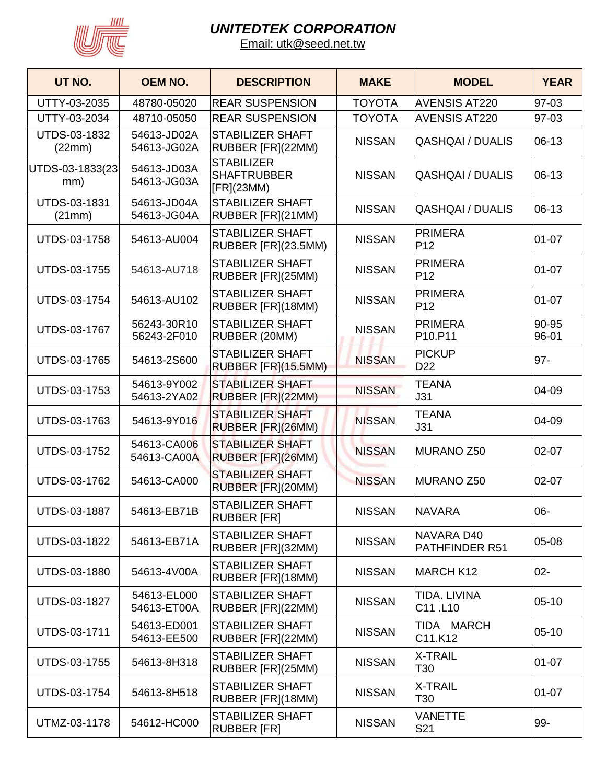

| UT NO.                        | <b>OEM NO.</b>             | <b>DESCRIPTION</b>                                    | <b>MAKE</b>   | <b>MODEL</b>                        | <b>YEAR</b>    |
|-------------------------------|----------------------------|-------------------------------------------------------|---------------|-------------------------------------|----------------|
| UTTY-03-2035                  | 48780-05020                | <b>REAR SUSPENSION</b>                                | <b>TOYOTA</b> | <b>AVENSIS AT220</b>                | 97-03          |
| UTTY-03-2034                  | 48710-05050                | <b>REAR SUSPENSION</b>                                | <b>TOYOTA</b> | <b>AVENSIS AT220</b>                | 97-03          |
| UTDS-03-1832<br>(22mm)        | 54613-JD02A<br>54613-JG02A | <b>STABILIZER SHAFT</b><br>RUBBER [FR](22MM)          | <b>NISSAN</b> | <b>QASHQAI / DUALIS</b>             | 06-13          |
| UTDS-03-1833(23)<br>mm)       | 54613-JD03A<br>54613-JG03A | <b>STABILIZER</b><br><b>SHAFTRUBBER</b><br>[FR](23MM) | <b>NISSAN</b> | <b>QASHQAI / DUALIS</b>             | 06-13          |
| <b>UTDS-03-1831</b><br>(21mm) | 54613-JD04A<br>54613-JG04A | <b>STABILIZER SHAFT</b><br>RUBBER [FR](21MM)          | <b>NISSAN</b> | <b>QASHQAI / DUALIS</b>             | $06-13$        |
| UTDS-03-1758                  | 54613-AU004                | <b>STABILIZER SHAFT</b><br>RUBBER [FR](23.5MM)        | <b>NISSAN</b> | <b>PRIMERA</b><br>P <sub>12</sub>   | $01 - 07$      |
| UTDS-03-1755                  | 54613-AU718                | <b>STABILIZER SHAFT</b><br>RUBBER [FR](25MM)          | <b>NISSAN</b> | <b>PRIMERA</b><br>P <sub>12</sub>   | $01 - 07$      |
| UTDS-03-1754                  | 54613-AU102                | <b>STABILIZER SHAFT</b><br>RUBBER [FR](18MM)          | <b>NISSAN</b> | <b>PRIMERA</b><br>P <sub>12</sub>   | $01 - 07$      |
| <b>UTDS-03-1767</b>           | 56243-30R10<br>56243-2F010 | <b>STABILIZER SHAFT</b><br>RUBBER (20MM)              | <b>NISSAN</b> | <b>PRIMERA</b><br>P10.P11           | 90-95<br>96-01 |
| <b>UTDS-03-1765</b>           | 54613-2S600                | <b>STABILIZER SHAFT</b><br>RUBBER [FR](15.5MM)        | <b>NISSAN</b> | <b>PICKUP</b><br>D <sub>22</sub>    | $97 -$         |
| UTDS-03-1753                  | 54613-9Y002<br>54613-2YA02 | <b>STABILIZER SHAFT</b><br>RUBBER [FR](22MM)          | <b>NISSAN</b> | <b>TEANA</b><br>J31                 | 04-09          |
| UTDS-03-1763                  | 54613-9Y016                | <b>STABILIZER SHAFT</b><br>RUBBER [FR](26MM)          | <b>NISSAN</b> | <b>TEANA</b><br>J31                 | 04-09          |
| UTDS-03-1752                  | 54613-CA006<br>54613-CA00A | <b>STABILIZER SHAFT</b><br>RUBBER [FR](26MM)          | <b>NISSAN</b> | MURANO Z50                          | $02 - 07$      |
| UTDS-03-1762                  | 54613-CA000                | <b>STABILIZER SHAFT</b><br>RUBBER [FR](20MM)          | <b>NISSAN</b> | MURANO Z50                          | $02 - 07$      |
| UTDS-03-1887                  | 54613-EB71B                | <b>STABILIZER SHAFT</b><br><b>RUBBER [FR]</b>         | <b>NISSAN</b> | NAVARA                              | 06-            |
| UTDS-03-1822                  | 54613-EB71A                | <b>STABILIZER SHAFT</b><br>RUBBER [FR](32MM)          | <b>NISSAN</b> | NAVARA D40<br><b>PATHFINDER R51</b> | 05-08          |
| UTDS-03-1880                  | 54613-4V00A                | <b>STABILIZER SHAFT</b><br>RUBBER [FR](18MM)          | <b>NISSAN</b> | MARCH K12                           | $02 -$         |
| UTDS-03-1827                  | 54613-EL000<br>54613-ET00A | <b>STABILIZER SHAFT</b><br>RUBBER [FR](22MM)          | <b>NISSAN</b> | TIDA. LIVINA<br>C11.L10             | $05-10$        |
| <b>UTDS-03-1711</b>           | 54613-ED001<br>54613-EE500 | <b>STABILIZER SHAFT</b><br>RUBBER [FR](22MM)          | <b>NISSAN</b> | TIDA MARCH<br>C11.K12               | $05 - 10$      |
| UTDS-03-1755                  | 54613-8H318                | <b>STABILIZER SHAFT</b><br>RUBBER [FR](25MM)          | <b>NISSAN</b> | <b>X-TRAIL</b><br>T30               | $01 - 07$      |
| UTDS-03-1754                  | 54613-8H518                | <b>STABILIZER SHAFT</b><br>RUBBER [FR](18MM)          | <b>NISSAN</b> | <b>X-TRAIL</b><br>T30               | $01 - 07$      |
| UTMZ-03-1178                  | 54612-HC000                | <b>STABILIZER SHAFT</b><br><b>RUBBER [FR]</b>         | <b>NISSAN</b> | <b>VANETTE</b><br>S21               | 99-            |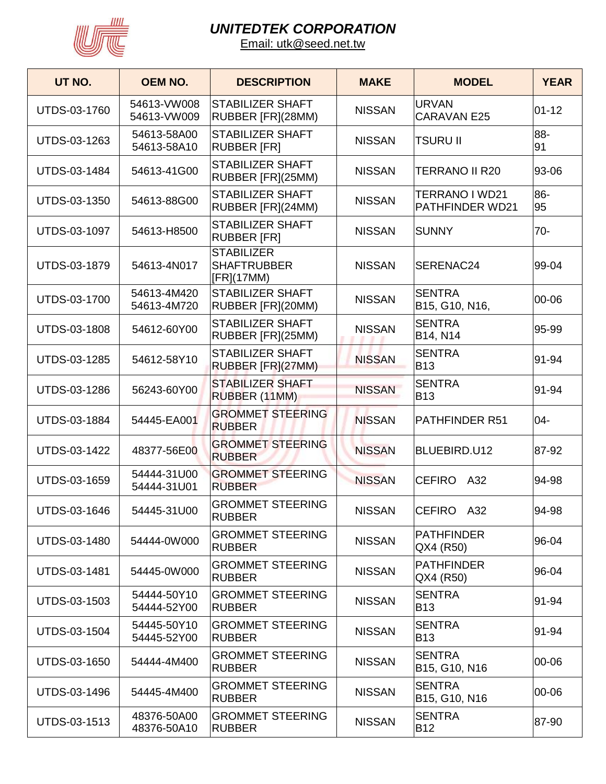

| UT NO.              | <b>OEM NO.</b>             | <b>DESCRIPTION</b>                                    | <b>MAKE</b>   | <b>MODEL</b>                                                         | <b>YEAR</b> |
|---------------------|----------------------------|-------------------------------------------------------|---------------|----------------------------------------------------------------------|-------------|
| UTDS-03-1760        | 54613-VW008<br>54613-VW009 | <b>STABILIZER SHAFT</b><br>RUBBER [FR](28MM)          | <b>NISSAN</b> | <b>URVAN</b><br><b>CARAVAN E25</b>                                   | $01 - 12$   |
| UTDS-03-1263        | 54613-58A00<br>54613-58A10 | <b>STABILIZER SHAFT</b><br><b>RUBBER [FR]</b>         | <b>NISSAN</b> | <b>TSURU II</b>                                                      | 88-<br>91   |
| UTDS-03-1484        | 54613-41G00                | <b>STABILIZER SHAFT</b><br>RUBBER [FR](25MM)          | <b>NISSAN</b> | <b>TERRANO II R20</b>                                                | 93-06       |
| UTDS-03-1350        | 54613-88G00                | <b>STABILIZER SHAFT</b><br>RUBBER [FR](24MM)          | <b>NISSAN</b> | TERRANO I WD21<br><b>PATHFINDER WD21</b>                             | 86-<br>95   |
| UTDS-03-1097        | 54613-H8500                | <b>STABILIZER SHAFT</b><br><b>RUBBER [FR]</b>         | <b>NISSAN</b> | <b>SUNNY</b>                                                         | $70 -$      |
| <b>UTDS-03-1879</b> | 54613-4N017                | <b>STABILIZER</b><br><b>SHAFTRUBBER</b><br>[FR](17MM) | <b>NISSAN</b> | SERENAC24                                                            | 99-04       |
| UTDS-03-1700        | 54613-4M420<br>54613-4M720 | <b>STABILIZER SHAFT</b><br>RUBBER [FR](20MM)          | <b>NISSAN</b> | <b>SENTRA</b><br>B15, G10, N16,                                      | 00-06       |
| <b>UTDS-03-1808</b> | 54612-60Y00                | <b>STABILIZER SHAFT</b><br>RUBBER [FR](25MM)          | <b>NISSAN</b> | <b>SENTRA</b><br>B14, N14                                            | 95-99       |
| <b>UTDS-03-1285</b> | 54612-58Y10                | <b>STABILIZER SHAFT</b><br>RUBBER [FR](27MM)          | <b>NISSAN</b> | <b>SENTRA</b><br><b>B13</b>                                          | 91-94       |
| UTDS-03-1286        | 56243-60Y00                | <b>STABILIZER SHAFT</b><br>RUBBER (11MM)              | <b>NISSAN</b> | <b>SENTRA</b><br><b>B13</b>                                          | 91-94       |
| <b>UTDS-03-1884</b> | 54445-EA001                | <b>GROMMET STEERING</b><br><b>RUBBER</b>              | <b>NISSAN</b> | PATHFINDER R51                                                       | 04-         |
| UTDS-03-1422        | 48377-56E00                | <b>GROMMET STEERING</b><br><b>RUBBER</b>              | <b>NISSAN</b> | BLUEBIRD.U12                                                         | 87-92       |
| UTDS-03-1659        | 54444-31U00<br>54444-31U01 | <b>GROMMET STEERING</b><br><b>RUBBER</b>              | <b>NISSAN</b> | <b>CEFIRO</b><br>A32                                                 | 94-98       |
| UTDS-03-1646        | 54445-31U00                | <b>GROMMET STEERING</b><br><b>RUBBER</b>              | <b>NISSAN</b> | CEFIRO A32                                                           | 94-98       |
| UTDS-03-1480        | 54444-0W000                | <b>GROMMET STEERING</b><br><b>RUBBER</b>              | <b>NISSAN</b> | <b>PATHFINDER</b><br>QX4 (R50)                                       | 96-04       |
| UTDS-03-1481        | 54445-0W000                | <b>GROMMET STEERING</b><br><b>RUBBER</b>              | <b>NISSAN</b> | <b>PATHFINDER</b><br>QX4 (R50)                                       | 96-04       |
| UTDS-03-1503        | 54444-50Y10<br>54444-52Y00 | <b>GROMMET STEERING</b><br><b>RUBBER</b>              | <b>NISSAN</b> | <b>SENTRA</b><br><b>B13</b>                                          | 91-94       |
| UTDS-03-1504        | 54445-50Y10<br>54445-52Y00 | <b>GROMMET STEERING</b><br><b>RUBBER</b>              | <b>NISSAN</b> | <b>SENTRA</b><br><b>B13</b>                                          | 91-94       |
| UTDS-03-1650        | 54444-4M400                | <b>GROMMET STEERING</b><br><b>RUBBER</b>              | <b>NISSAN</b> | <b>SENTRA</b><br>B <sub>15</sub> , G <sub>10</sub> , N <sub>16</sub> | 00-06       |
| UTDS-03-1496        | 54445-4M400                | <b>GROMMET STEERING</b><br><b>RUBBER</b>              | <b>NISSAN</b> | <b>SENTRA</b><br>B15, G10, N16                                       | 00-06       |
| UTDS-03-1513        | 48376-50A00<br>48376-50A10 | <b>GROMMET STEERING</b><br><b>RUBBER</b>              | <b>NISSAN</b> | <b>SENTRA</b><br><b>B12</b>                                          | 87-90       |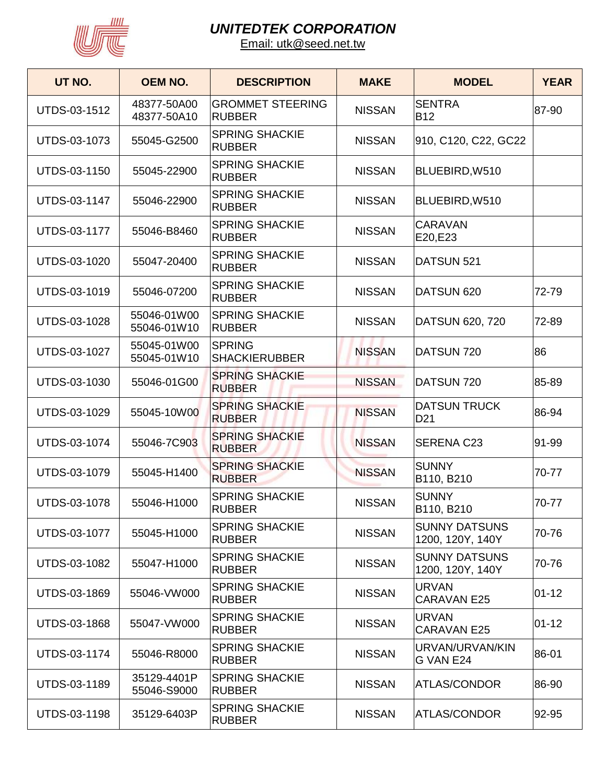

| UT NO.       | <b>OEM NO.</b>             | <b>DESCRIPTION</b>                       | <b>MAKE</b>   | <b>MODEL</b>                             | <b>YEAR</b> |
|--------------|----------------------------|------------------------------------------|---------------|------------------------------------------|-------------|
| UTDS-03-1512 | 48377-50A00<br>48377-50A10 | <b>GROMMET STEERING</b><br><b>RUBBER</b> | <b>NISSAN</b> | <b>SENTRA</b><br><b>B12</b>              | 87-90       |
| UTDS-03-1073 | 55045-G2500                | <b>SPRING SHACKIE</b><br><b>RUBBER</b>   | <b>NISSAN</b> | 910, C120, C22, GC22                     |             |
| UTDS-03-1150 | 55045-22900                | <b>SPRING SHACKIE</b><br><b>RUBBER</b>   | <b>NISSAN</b> | BLUEBIRD, W510                           |             |
| UTDS-03-1147 | 55046-22900                | <b>SPRING SHACKIE</b><br><b>RUBBER</b>   | <b>NISSAN</b> | BLUEBIRD, W510                           |             |
| UTDS-03-1177 | 55046-B8460                | <b>SPRING SHACKIE</b><br><b>RUBBER</b>   | <b>NISSAN</b> | <b>CARAVAN</b><br>E20,E23                |             |
| UTDS-03-1020 | 55047-20400                | <b>SPRING SHACKIE</b><br><b>RUBBER</b>   | <b>NISSAN</b> | DATSUN 521                               |             |
| UTDS-03-1019 | 55046-07200                | <b>SPRING SHACKIE</b><br><b>RUBBER</b>   | <b>NISSAN</b> | DATSUN 620                               | 72-79       |
| UTDS-03-1028 | 55046-01W00<br>55046-01W10 | <b>SPRING SHACKIE</b><br><b>RUBBER</b>   | <b>NISSAN</b> | DATSUN 620, 720                          | 72-89       |
| UTDS-03-1027 | 55045-01W00<br>55045-01W10 | <b>SPRING</b><br><b>SHACKIERUBBER</b>    | <b>NISSAN</b> | DATSUN 720                               | 86          |
| UTDS-03-1030 | 55046-01G00                | <b>SPRING SHACKIE</b><br><b>RUBBER</b>   | <b>NISSAN</b> | DATSUN 720                               | 85-89       |
| UTDS-03-1029 | 55045-10W00                | <b>SPRING SHACKIE</b><br><b>RUBBER</b>   | <b>NISSAN</b> | <b>DATSUN TRUCK</b><br>D <sub>21</sub>   | 86-94       |
| UTDS-03-1074 | 55046-7C903                | <b>SPRING SHACKIE</b><br><b>RUBBER</b>   | <b>NISSAN</b> | <b>SERENA C23</b>                        | 91-99       |
| UTDS-03-1079 | 55045-H1400                | <b>SPRING SHACKIE</b><br><b>RUBBER</b>   | <b>NISSAN</b> | <b>SUNNY</b><br>B110, B210               | 70-77       |
| UTDS-03-1078 | 55046-H1000                | <b>SPRING SHACKIE</b><br><b>RUBBER</b>   | <b>NISSAN</b> | <b>SUNNY</b><br>B110, B210               | 70-77       |
| UTDS-03-1077 | 55045-H1000                | <b>SPRING SHACKIE</b><br><b>RUBBER</b>   | <b>NISSAN</b> | <b>SUNNY DATSUNS</b><br>1200, 120Y, 140Y | 70-76       |
| UTDS-03-1082 | 55047-H1000                | <b>SPRING SHACKIE</b><br><b>RUBBER</b>   | <b>NISSAN</b> | <b>SUNNY DATSUNS</b><br>1200, 120Y, 140Y | 70-76       |
| UTDS-03-1869 | 55046-VW000                | <b>SPRING SHACKIE</b><br><b>RUBBER</b>   | <b>NISSAN</b> | <b>URVAN</b><br><b>CARAVAN E25</b>       | $01 - 12$   |
| UTDS-03-1868 | 55047-VW000                | <b>SPRING SHACKIE</b><br><b>RUBBER</b>   | <b>NISSAN</b> | <b>URVAN</b><br>CARAVAN E25              | $01 - 12$   |
| UTDS-03-1174 | 55046-R8000                | <b>SPRING SHACKIE</b><br><b>RUBBER</b>   | <b>NISSAN</b> | URVAN/URVAN/KIN<br>G VAN E24             | 86-01       |
| UTDS-03-1189 | 35129-4401P<br>55046-S9000 | <b>SPRING SHACKIE</b><br><b>RUBBER</b>   | <b>NISSAN</b> | <b>ATLAS/CONDOR</b>                      | 86-90       |
| UTDS-03-1198 | 35129-6403P                | <b>SPRING SHACKIE</b><br><b>RUBBER</b>   | <b>NISSAN</b> | <b>ATLAS/CONDOR</b>                      | 92-95       |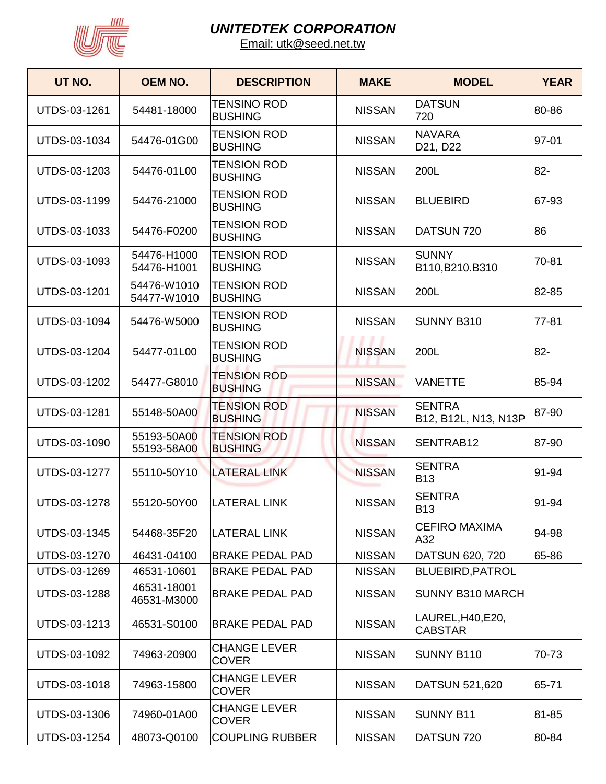

| UT NO.              | <b>OEM NO.</b>             | <b>DESCRIPTION</b>                   | <b>MAKE</b>   | <b>MODEL</b>                          | <b>YEAR</b> |
|---------------------|----------------------------|--------------------------------------|---------------|---------------------------------------|-------------|
| UTDS-03-1261        | 54481-18000                | <b>TENSINO ROD</b><br><b>BUSHING</b> | <b>NISSAN</b> | <b>DATSUN</b><br>720                  | 80-86       |
| UTDS-03-1034        | 54476-01G00                | <b>TENSION ROD</b><br><b>BUSHING</b> | <b>NISSAN</b> | <b>NAVARA</b><br>D21, D22             | 97-01       |
| UTDS-03-1203        | 54476-01L00                | <b>TENSION ROD</b><br><b>BUSHING</b> | <b>NISSAN</b> | 200L                                  | 82-         |
| <b>UTDS-03-1199</b> | 54476-21000                | <b>TENSION ROD</b><br><b>BUSHING</b> | <b>NISSAN</b> | BLUEBIRD                              | 67-93       |
| UTDS-03-1033        | 54476-F0200                | <b>TENSION ROD</b><br><b>BUSHING</b> | <b>NISSAN</b> | DATSUN 720                            | 86          |
| UTDS-03-1093        | 54476-H1000<br>54476-H1001 | <b>TENSION ROD</b><br><b>BUSHING</b> | <b>NISSAN</b> | <b>SUNNY</b><br>B110, B210. B310      | 70-81       |
| <b>UTDS-03-1201</b> | 54476-W1010<br>54477-W1010 | <b>TENSION ROD</b><br><b>BUSHING</b> | <b>NISSAN</b> | 200L                                  | 82-85       |
| UTDS-03-1094        | 54476-W5000                | <b>TENSION ROD</b><br><b>BUSHING</b> | <b>NISSAN</b> | SUNNY B310                            | $77 - 81$   |
| UTDS-03-1204        | 54477-01L00                | <b>TENSION ROD</b><br><b>BUSHING</b> | <b>NISSAN</b> | 200L                                  | 82-         |
| UTDS-03-1202        | 54477-G8010                | <b>TENSION ROD</b><br><b>BUSHING</b> | <b>NISSAN</b> | <b>VANETTE</b>                        | 85-94       |
| <b>UTDS-03-1281</b> | 55148-50A00                | <b>TENSION ROD</b><br><b>BUSHING</b> | <b>NISSAN</b> | <b>SENTRA</b><br>B12, B12L, N13, N13P | 87-90       |
| UTDS-03-1090        | 55193-50A00<br>55193-58A00 | <b>TENSION ROD</b><br><b>BUSHING</b> | <b>NISSAN</b> | SENTRAB12                             | 87-90       |
| <b>UTDS-03-1277</b> | 55110-50Y10                | <b>LATERAL LINK</b>                  | <b>NISSAN</b> | <b>SENTRA</b><br><b>B13</b>           | 91-94       |
| <b>UTDS-03-1278</b> | 55120-50Y00                | <b>LATERAL LINK</b>                  | <b>NISSAN</b> | <b>SENTRA</b><br><b>B13</b>           | 91-94       |
| UTDS-03-1345        | 54468-35F20                | <b>LATERAL LINK</b>                  | <b>NISSAN</b> | <b>CEFIRO MAXIMA</b><br>A32           | 94-98       |
| UTDS-03-1270        | 46431-04100                | <b>BRAKE PEDAL PAD</b>               | <b>NISSAN</b> | DATSUN 620, 720                       | 65-86       |
| UTDS-03-1269        | 46531-10601                | <b>BRAKE PEDAL PAD</b>               | <b>NISSAN</b> | <b>BLUEBIRD, PATROL</b>               |             |
| UTDS-03-1288        | 46531-18001<br>46531-M3000 | <b>BRAKE PEDAL PAD</b>               | <b>NISSAN</b> | <b>SUNNY B310 MARCH</b>               |             |
| UTDS-03-1213        | 46531-S0100                | <b>BRAKE PEDAL PAD</b>               | <b>NISSAN</b> | LAUREL, H40, E20,<br><b>CABSTAR</b>   |             |
| UTDS-03-1092        | 74963-20900                | <b>CHANGE LEVER</b><br><b>COVER</b>  | <b>NISSAN</b> | SUNNY B110                            | 70-73       |
| UTDS-03-1018        | 74963-15800                | <b>CHANGE LEVER</b><br><b>COVER</b>  | <b>NISSAN</b> | DATSUN 521,620                        | 65-71       |
| UTDS-03-1306        | 74960-01A00                | <b>CHANGE LEVER</b><br><b>COVER</b>  | <b>NISSAN</b> | <b>SUNNY B11</b>                      | 81-85       |
| UTDS-03-1254        | 48073-Q0100                | <b>COUPLING RUBBER</b>               | <b>NISSAN</b> | DATSUN 720                            | 80-84       |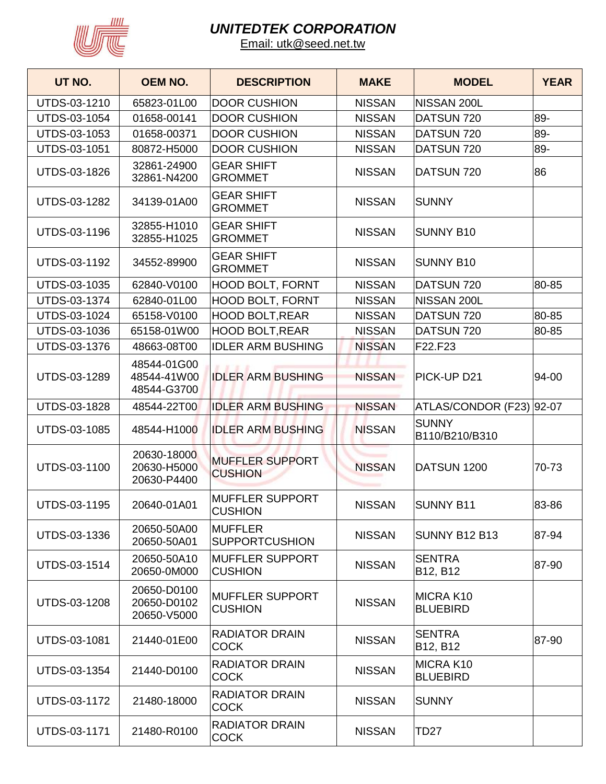

| UT NO.              | <b>OEM NO.</b>                            | <b>DESCRIPTION</b>                        | <b>MAKE</b>   | <b>MODEL</b>                   | <b>YEAR</b> |
|---------------------|-------------------------------------------|-------------------------------------------|---------------|--------------------------------|-------------|
| UTDS-03-1210        | 65823-01L00                               | <b>DOOR CUSHION</b>                       | <b>NISSAN</b> | NISSAN 200L                    |             |
| UTDS-03-1054        | 01658-00141                               | <b>DOOR CUSHION</b>                       | <b>NISSAN</b> | DATSUN 720                     | 89-         |
| UTDS-03-1053        | 01658-00371                               | <b>DOOR CUSHION</b>                       | <b>NISSAN</b> | DATSUN 720                     | 89-         |
| UTDS-03-1051        | 80872-H5000                               | <b>DOOR CUSHION</b>                       | <b>NISSAN</b> | DATSUN 720                     | 89-         |
| UTDS-03-1826        | 32861-24900<br>32861-N4200                | <b>GEAR SHIFT</b><br><b>GROMMET</b>       | <b>NISSAN</b> | DATSUN 720                     | 86          |
| UTDS-03-1282        | 34139-01A00                               | <b>GEAR SHIFT</b><br><b>GROMMET</b>       | <b>NISSAN</b> | <b>SUNNY</b>                   |             |
| UTDS-03-1196        | 32855-H1010<br>32855-H1025                | <b>GEAR SHIFT</b><br><b>GROMMET</b>       | <b>NISSAN</b> | <b>SUNNY B10</b>               |             |
| UTDS-03-1192        | 34552-89900                               | <b>GEAR SHIFT</b><br><b>GROMMET</b>       | <b>NISSAN</b> | <b>SUNNY B10</b>               |             |
| UTDS-03-1035        | 62840-V0100                               | <b>HOOD BOLT, FORNT</b>                   | <b>NISSAN</b> | DATSUN 720                     | 80-85       |
| UTDS-03-1374        | 62840-01L00                               | <b>HOOD BOLT, FORNT</b>                   | <b>NISSAN</b> | NISSAN 200L                    |             |
| UTDS-03-1024        | 65158-V0100                               | <b>HOOD BOLT, REAR</b>                    | <b>NISSAN</b> | DATSUN 720                     | 80-85       |
| UTDS-03-1036        | 65158-01W00                               | <b>HOOD BOLT, REAR</b>                    | <b>NISSAN</b> | DATSUN 720                     | 80-85       |
| UTDS-03-1376        | 48663-08T00                               | <b>IDLER ARM BUSHING</b>                  | <b>NISSAN</b> | F22.F23                        |             |
| UTDS-03-1289        | 48544-01G00<br>48544-41W00<br>48544-G3700 | <b>IDLER ARM BUSHING</b>                  | <b>NISSAN</b> | PICK-UP D21                    | 94-00       |
| <b>UTDS-03-1828</b> | 48544-22T00                               | <b>IDLER ARM BUSHING</b>                  | <b>NISSAN</b> | ATLAS/CONDOR (F23) 92-07       |             |
| UTDS-03-1085        | 48544-H1000                               | <b>IDLER ARM BUSHING</b>                  | <b>NISSAN</b> | <b>SUNNY</b><br>B110/B210/B310 |             |
| UTDS-03-1100        | 20630-18000<br>20630-H5000<br>20630-P4400 | <b>MUFFLER SUPPORT</b><br><b>CUSHION</b>  | <b>NISSAN</b> | DATSUN 1200                    | 70-73       |
| <b>UTDS-03-1195</b> | 20640-01A01                               | <b>IMUFFLER SUPPORT</b><br><b>CUSHION</b> | <b>NISSAN</b> | <b>SUNNY B11</b>               | 83-86       |
| UTDS-03-1336        | 20650-50A00<br>20650-50A01                | <b>MUFFLER</b><br><b>SUPPORTCUSHION</b>   | <b>NISSAN</b> | SUNNY B12 B13                  | 87-94       |
| UTDS-03-1514        | 20650-50A10<br>20650-0M000                | <b>MUFFLER SUPPORT</b><br><b>CUSHION</b>  | <b>NISSAN</b> | <b>SENTRA</b><br>B12, B12      | 87-90       |
| UTDS-03-1208        | 20650-D0100<br>20650-D0102<br>20650-V5000 | <b>MUFFLER SUPPORT</b><br><b>CUSHION</b>  | <b>NISSAN</b> | MICRA K10<br><b>BLUEBIRD</b>   |             |
| UTDS-03-1081        | 21440-01E00                               | <b>RADIATOR DRAIN</b><br><b>COCK</b>      | <b>NISSAN</b> | <b>SENTRA</b><br>B12, B12      | 87-90       |
| UTDS-03-1354        | 21440-D0100                               | <b>RADIATOR DRAIN</b><br><b>COCK</b>      | <b>NISSAN</b> | MICRA K10<br><b>BLUEBIRD</b>   |             |
| UTDS-03-1172        | 21480-18000                               | <b>RADIATOR DRAIN</b><br><b>COCK</b>      | <b>NISSAN</b> | <b>SUNNY</b>                   |             |
| UTDS-03-1171        | 21480-R0100                               | <b>RADIATOR DRAIN</b><br><b>COCK</b>      | <b>NISSAN</b> | <b>TD27</b>                    |             |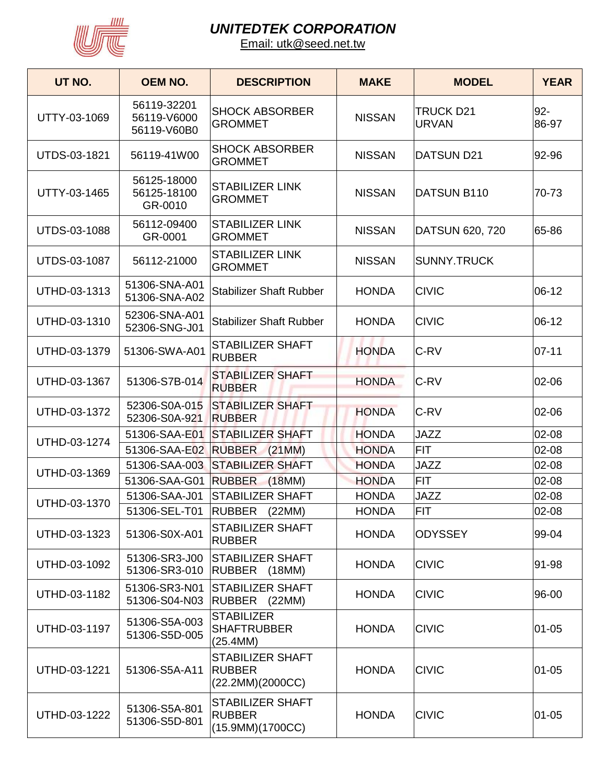

| UT NO.              | <b>OEM NO.</b>                            | <b>DESCRIPTION</b>                                    | <b>MAKE</b>   | <b>MODEL</b>                     | <b>YEAR</b>     |
|---------------------|-------------------------------------------|-------------------------------------------------------|---------------|----------------------------------|-----------------|
| UTTY-03-1069        | 56119-32201<br>56119-V6000<br>56119-V60B0 | <b>SHOCK ABSORBER</b><br><b>GROMMET</b>               | <b>NISSAN</b> | <b>TRUCK D21</b><br><b>URVAN</b> | $92 -$<br>86-97 |
| UTDS-03-1821        | 56119-41W00                               | <b>SHOCK ABSORBER</b><br><b>GROMMET</b>               | <b>NISSAN</b> | <b>DATSUN D21</b>                | 92-96           |
| UTTY-03-1465        | 56125-18000<br>56125-18100<br>GR-0010     | <b>STABILIZER LINK</b><br><b>GROMMET</b>              | <b>NISSAN</b> | DATSUN B110                      | 70-73           |
| <b>UTDS-03-1088</b> | 56112-09400<br>GR-0001                    | <b>STABILIZER LINK</b><br><b>GROMMET</b>              | <b>NISSAN</b> | DATSUN 620, 720                  | 65-86           |
| UTDS-03-1087        | 56112-21000                               | <b>STABILIZER LINK</b><br><b>GROMMET</b>              | <b>NISSAN</b> | <b>SUNNY.TRUCK</b>               |                 |
| UTHD-03-1313        | 51306-SNA-A01<br>51306-SNA-A02            | <b>Stabilizer Shaft Rubber</b>                        | <b>HONDA</b>  | <b>CIVIC</b>                     | $06-12$         |
| UTHD-03-1310        | 52306-SNA-A01<br>52306-SNG-J01            | <b>Stabilizer Shaft Rubber</b>                        | <b>HONDA</b>  | <b>CIVIC</b>                     | $06-12$         |
| UTHD-03-1379        | 51306-SWA-A01                             | <b>STABILIZER SHAFT</b><br><b>RUBBER</b>              | <b>HONDA</b>  | C-RV                             | $07 - 11$       |
| UTHD-03-1367        | 51306-S7B-014                             | <b>STABILIZER SHAFT</b><br><b>RUBBER</b>              | <b>HONDA</b>  | C-RV                             | 02-06           |
| UTHD-03-1372        | 52306-S0A-015<br>52306-S0A-921            | <b>STABILIZER SHAFT</b><br><b>RUBBER</b>              | <b>HONDA</b>  | C-RV                             | 02-06           |
| UTHD-03-1274        | 51306-SAA-E01                             | <b>STABILIZER SHAFT</b>                               | <b>HONDA</b>  | <b>JAZZ</b>                      | 02-08           |
|                     | 51306-SAA-E02                             | <b>RUBBER</b><br>(21MM)                               | <b>HONDA</b>  | <b>FIT</b>                       | 02-08           |
| UTHD-03-1369        | 51306-SAA-003                             | <b>STABILIZER SHAFT</b>                               | <b>HONDA</b>  | <b>JAZZ</b>                      | 02-08           |
|                     | 51306-SAA-G01                             | <b>RUBBER</b><br>(18MM)                               | <b>HONDA</b>  | <b>FIT</b>                       | 02-08           |
| UTHD-03-1370        | 51306-SAA-J01                             | <b>STABILIZER SHAFT</b>                               | <b>HONDA</b>  | <b>JAZZ</b>                      | 02-08           |
|                     | 51306-SEL-T01                             | RUBBER (22MM)                                         | <b>HONDA</b>  | <b>FIT</b>                       | 02-08           |
| UTHD-03-1323        | 51306-S0X-A01                             | STABILIZER SHAFT<br><b>RUBBER</b>                     | <b>HONDA</b>  | <b>ODYSSEY</b>                   | 99-04           |
| UTHD-03-1092        | 51306-SR3-J00<br>51306-SR3-010            | <b>STABILIZER SHAFT</b><br>RUBBER (18MM)              | <b>HONDA</b>  | <b>CIVIC</b>                     | 91-98           |
| UTHD-03-1182        | 51306-SR3-N01<br>51306-S04-N03            | <b>STABILIZER SHAFT</b><br>RUBBER (22MM)              | <b>HONDA</b>  | <b>CIVIC</b>                     | 96-00           |
| UTHD-03-1197        | 51306-S5A-003<br>51306-S5D-005            | <b>STABILIZER</b><br><b>SHAFTRUBBER</b><br>(25.4MM)   | <b>HONDA</b>  | <b>CIVIC</b>                     | $01 - 05$       |
| UTHD-03-1221        | 51306-S5A-A11                             | STABILIZER SHAFT<br><b>RUBBER</b><br>(22.2MM)(2000CC) | <b>HONDA</b>  | <b>CIVIC</b>                     | $01 - 05$       |
| UTHD-03-1222        | 51306-S5A-801<br>51306-S5D-801            | STABILIZER SHAFT<br><b>RUBBER</b><br>(15.9MM)(1700CC) | <b>HONDA</b>  | <b>CIVIC</b>                     | $01 - 05$       |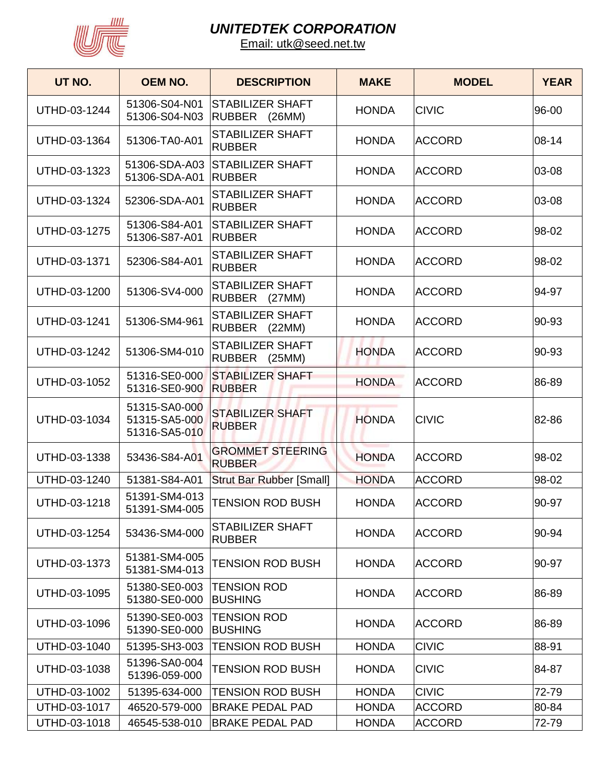

| UT NO.       | <b>OEM NO.</b>                                  | <b>DESCRIPTION</b>                                 | <b>MAKE</b>  | <b>MODEL</b>  | <b>YEAR</b> |
|--------------|-------------------------------------------------|----------------------------------------------------|--------------|---------------|-------------|
| UTHD-03-1244 | 51306-S04-N01<br>51306-S04-N03                  | <b>STABILIZER SHAFT</b><br><b>RUBBER</b><br>(26MM) | <b>HONDA</b> | <b>CIVIC</b>  | 96-00       |
| UTHD-03-1364 | 51306-TA0-A01                                   | <b>STABILIZER SHAFT</b><br><b>RUBBER</b>           | <b>HONDA</b> | <b>ACCORD</b> | 08-14       |
| UTHD-03-1323 | 51306-SDA-A03<br>51306-SDA-A01                  | <b>STABILIZER SHAFT</b><br><b>RUBBER</b>           | <b>HONDA</b> | <b>ACCORD</b> | 03-08       |
| UTHD-03-1324 | 52306-SDA-A01                                   | <b>STABILIZER SHAFT</b><br><b>RUBBER</b>           | <b>HONDA</b> | <b>ACCORD</b> | 03-08       |
| UTHD-03-1275 | 51306-S84-A01<br>51306-S87-A01                  | <b>STABILIZER SHAFT</b><br><b>RUBBER</b>           | <b>HONDA</b> | <b>ACCORD</b> | 98-02       |
| UTHD-03-1371 | 52306-S84-A01                                   | <b>STABILIZER SHAFT</b><br><b>RUBBER</b>           | <b>HONDA</b> | <b>ACCORD</b> | 98-02       |
| UTHD-03-1200 | 51306-SV4-000                                   | STABILIZER SHAFT<br><b>RUBBER</b><br>(27MM)        | <b>HONDA</b> | <b>ACCORD</b> | 94-97       |
| UTHD-03-1241 | 51306-SM4-961                                   | <b>STABILIZER SHAFT</b><br><b>RUBBER</b><br>(22MM) | <b>HONDA</b> | <b>ACCORD</b> | 90-93       |
| UTHD-03-1242 | 51306-SM4-010                                   | <b>STABILIZER SHAFT</b><br><b>RUBBER</b><br>(25MM) | <b>HONDA</b> | <b>ACCORD</b> | 90-93       |
| UTHD-03-1052 | 51316-SE0-000<br>51316-SE0-900                  | <b>STABILIZER SHAFT</b><br><b>RUBBER</b>           | <b>HONDA</b> | <b>ACCORD</b> | 86-89       |
| UTHD-03-1034 | 51315-SA0-000<br>51315-SA5-000<br>51316-SA5-010 | <b>STABILIZER SHAFT</b><br><b>RUBBER</b>           | <b>HONDA</b> | <b>CIVIC</b>  | 82-86       |
| UTHD-03-1338 | 53436-S84-A01                                   | <b>GROMMET STEERING</b><br><b>RUBBER</b>           | <b>HONDA</b> | <b>ACCORD</b> | 98-02       |
| UTHD-03-1240 | 51381-S84-A01                                   | <b>Strut Bar Rubber [Small]</b>                    | <b>HONDA</b> | <b>ACCORD</b> | 98-02       |
| UTHD-03-1218 | 51391-SM4-013<br>51391-SM4-005                  | <b>TENSION ROD BUSH</b>                            | <b>HONDA</b> | <b>ACCORD</b> | 90-97       |
| UTHD-03-1254 | 53436-SM4-000                                   | <b>STABILIZER SHAFT</b><br><b>RUBBER</b>           | <b>HONDA</b> | <b>ACCORD</b> | 90-94       |
| UTHD-03-1373 | 51381-SM4-005<br>51381-SM4-013                  | <b>TENSION ROD BUSH</b>                            | <b>HONDA</b> | <b>ACCORD</b> | 90-97       |
| UTHD-03-1095 | 51380-SE0-003<br>51380-SE0-000                  | <b>TENSION ROD</b><br><b>BUSHING</b>               | <b>HONDA</b> | <b>ACCORD</b> | 86-89       |
| UTHD-03-1096 | 51390-SE0-003<br>51390-SE0-000                  | <b>TENSION ROD</b><br><b>BUSHING</b>               | <b>HONDA</b> | <b>ACCORD</b> | 86-89       |
| UTHD-03-1040 | 51395-SH3-003                                   | <b>TENSION ROD BUSH</b>                            | <b>HONDA</b> | <b>CIVIC</b>  | 88-91       |
| UTHD-03-1038 | 51396-SA0-004<br>51396-059-000                  | <b>TENSION ROD BUSH</b>                            | <b>HONDA</b> | <b>CIVIC</b>  | 84-87       |
| UTHD-03-1002 | 51395-634-000                                   | <b>TENSION ROD BUSH</b>                            | <b>HONDA</b> | <b>CIVIC</b>  | 72-79       |
| UTHD-03-1017 | 46520-579-000                                   | <b>BRAKE PEDAL PAD</b>                             | <b>HONDA</b> | <b>ACCORD</b> | 80-84       |
| UTHD-03-1018 | 46545-538-010                                   | <b>BRAKE PEDAL PAD</b>                             | <b>HONDA</b> | <b>ACCORD</b> | 72-79       |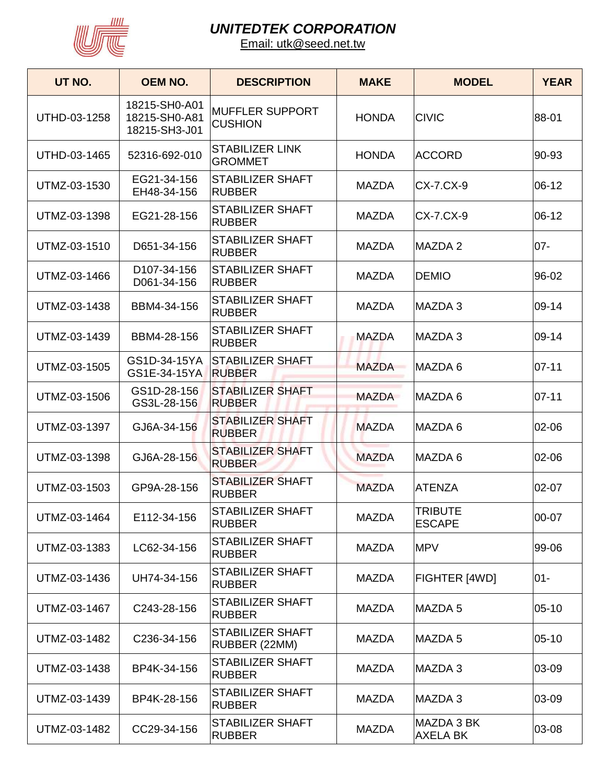

| UT NO.       | <b>OEM NO.</b>                                  | <b>DESCRIPTION</b>                       | <b>MAKE</b>  | <b>MODEL</b>                    | <b>YEAR</b> |
|--------------|-------------------------------------------------|------------------------------------------|--------------|---------------------------------|-------------|
| UTHD-03-1258 | 18215-SH0-A01<br>18215-SH0-A81<br>18215-SH3-J01 | <b>MUFFLER SUPPORT</b><br><b>CUSHION</b> | <b>HONDA</b> | <b>CIVIC</b>                    | 88-01       |
| UTHD-03-1465 | 52316-692-010                                   | <b>STABILIZER LINK</b><br><b>GROMMET</b> | <b>HONDA</b> | ACCORD                          | 90-93       |
| UTMZ-03-1530 | EG21-34-156<br>EH48-34-156                      | <b>STABILIZER SHAFT</b><br><b>RUBBER</b> | <b>MAZDA</b> | CX-7.CX-9                       | $06-12$     |
| UTMZ-03-1398 | EG21-28-156                                     | <b>STABILIZER SHAFT</b><br><b>RUBBER</b> | <b>MAZDA</b> | CX-7.CX-9                       | 06-12       |
| UTMZ-03-1510 | D651-34-156                                     | <b>STABILIZER SHAFT</b><br><b>RUBBER</b> | <b>MAZDA</b> | <b>MAZDA2</b>                   | $07 -$      |
| UTMZ-03-1466 | D107-34-156<br>D061-34-156                      | STABILIZER SHAFT<br><b>RUBBER</b>        | <b>MAZDA</b> | DEMIO                           | 96-02       |
| UTMZ-03-1438 | BBM4-34-156                                     | <b>STABILIZER SHAFT</b><br><b>RUBBER</b> | <b>MAZDA</b> | MAZDA 3                         | 09-14       |
| UTMZ-03-1439 | BBM4-28-156                                     | <b>STABILIZER SHAFT</b><br><b>RUBBER</b> | <b>MAZDA</b> | MAZDA 3                         | 09-14       |
| UTMZ-03-1505 | GS1D-34-15YA<br>GS1E-34-15YA                    | <b>STABILIZER SHAFT</b><br><b>RUBBER</b> | <b>MAZDA</b> | MAZDA 6                         | $ 07 - 11 $ |
| UTMZ-03-1506 | GS1D-28-156<br>GS3L-28-156                      | <b>STABILIZER SHAFT</b><br><b>RUBBER</b> | <b>MAZDA</b> | MAZDA 6                         | $07 - 11$   |
| UTMZ-03-1397 | GJ6A-34-156                                     | <b>STABILIZER SHAFT</b><br><b>RUBBER</b> | <b>MAZDA</b> | MAZDA 6                         | 02-06       |
| UTMZ-03-1398 | GJ6A-28-156                                     | <b>STABILIZER SHAFT</b><br><b>RUBBER</b> | <b>MAZDA</b> | MAZDA 6                         | 02-06       |
| UTMZ-03-1503 | GP9A-28-156                                     | <b>STABILIZER SHAFT</b><br><b>RUBBER</b> | <b>MAZDA</b> | <b>ATENZA</b>                   | 02-07       |
| UTMZ-03-1464 | E112-34-156                                     | STABILIZER SHAFT<br><b>RUBBER</b>        | <b>MAZDA</b> | <b>TRIBUTE</b><br><b>ESCAPE</b> | 00-07       |
| UTMZ-03-1383 | LC62-34-156                                     | STABILIZER SHAFT<br><b>RUBBER</b>        | <b>MAZDA</b> | <b>MPV</b>                      | 99-06       |
| UTMZ-03-1436 | UH74-34-156                                     | STABILIZER SHAFT<br><b>RUBBER</b>        | <b>MAZDA</b> | FIGHTER [4WD]                   | $01 -$      |
| UTMZ-03-1467 | C243-28-156                                     | <b>STABILIZER SHAFT</b><br><b>RUBBER</b> | <b>MAZDA</b> | MAZDA 5                         | $05 - 10$   |
| UTMZ-03-1482 | C236-34-156                                     | <b>STABILIZER SHAFT</b><br>RUBBER (22MM) | <b>MAZDA</b> | MAZDA 5                         | $05-10$     |
| UTMZ-03-1438 | BP4K-34-156                                     | <b>STABILIZER SHAFT</b><br><b>RUBBER</b> | <b>MAZDA</b> | MAZDA 3                         | 03-09       |
| UTMZ-03-1439 | BP4K-28-156                                     | STABILIZER SHAFT<br><b>RUBBER</b>        | <b>MAZDA</b> | MAZDA 3                         | 03-09       |
| UTMZ-03-1482 | CC29-34-156                                     | <b>STABILIZER SHAFT</b><br><b>RUBBER</b> | <b>MAZDA</b> | MAZDA 3 BK<br><b>AXELA BK</b>   | 03-08       |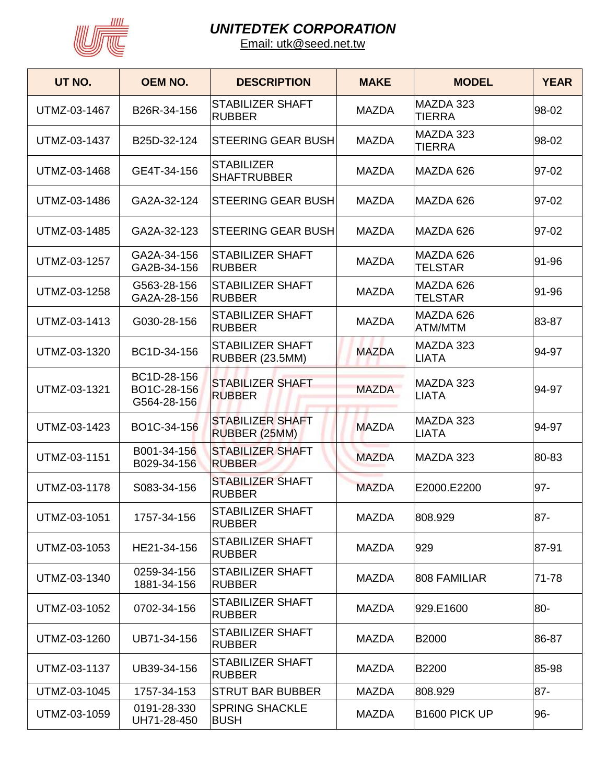

| UT NO.       | <b>OEM NO.</b>                            | <b>DESCRIPTION</b>                         | <b>MAKE</b>  | <b>MODEL</b>                | <b>YEAR</b> |
|--------------|-------------------------------------------|--------------------------------------------|--------------|-----------------------------|-------------|
| UTMZ-03-1467 | B26R-34-156                               | <b>STABILIZER SHAFT</b><br><b>RUBBER</b>   | <b>MAZDA</b> | MAZDA 323<br><b>TIERRA</b>  | 98-02       |
| UTMZ-03-1437 | B25D-32-124                               | <b>STEERING GEAR BUSH</b>                  | <b>MAZDA</b> | MAZDA 323<br><b>TIERRA</b>  | 98-02       |
| UTMZ-03-1468 | GE4T-34-156                               | <b>STABILIZER</b><br><b>SHAFTRUBBER</b>    | <b>MAZDA</b> | MAZDA 626                   | 97-02       |
| UTMZ-03-1486 | GA2A-32-124                               | <b>STEERING GEAR BUSH</b>                  | <b>MAZDA</b> | MAZDA 626                   | 97-02       |
| UTMZ-03-1485 | GA2A-32-123                               | <b>STEERING GEAR BUSH</b>                  | <b>MAZDA</b> | MAZDA 626                   | 97-02       |
| UTMZ-03-1257 | GA2A-34-156<br>GA2B-34-156                | <b>STABILIZER SHAFT</b><br><b>RUBBER</b>   | <b>MAZDA</b> | MAZDA 626<br><b>TELSTAR</b> | 91-96       |
| UTMZ-03-1258 | G563-28-156<br>GA2A-28-156                | <b>STABILIZER SHAFT</b><br><b>RUBBER</b>   | <b>MAZDA</b> | MAZDA 626<br><b>TELSTAR</b> | 91-96       |
| UTMZ-03-1413 | G030-28-156                               | <b>STABILIZER SHAFT</b><br><b>RUBBER</b>   | <b>MAZDA</b> | MAZDA 626<br>ATM/MTM        | 83-87       |
| UTMZ-03-1320 | BC1D-34-156                               | <b>STABILIZER SHAFT</b><br>RUBBER (23.5MM) | <b>MAZDA</b> | MAZDA 323<br><b>LIATA</b>   | 94-97       |
| UTMZ-03-1321 | BC1D-28-156<br>BO1C-28-156<br>G564-28-156 | <b>STABILIZER SHAFT</b><br><b>RUBBER</b>   | <b>MAZDA</b> | MAZDA 323<br><b>LIATA</b>   | 94-97       |
| UTMZ-03-1423 | BO1C-34-156                               | <b>STABILIZER SHAFT</b><br>RUBBER (25MM)   | <b>MAZDA</b> | MAZDA 323<br>LIATA          | 94-97       |
| UTMZ-03-1151 | B001-34-156<br>B029-34-156                | <b>STABILIZER SHAFT</b><br><b>RUBBER</b>   | <b>MAZDA</b> | MAZDA 323                   | 80-83       |
| UTMZ-03-1178 | S083-34-156                               | <b>STABILIZER SHAFT</b><br><b>RUBBER</b>   | <b>MAZDA</b> | E2000.E2200                 | 97-         |
| UTMZ-03-1051 | 1757-34-156                               | STABILIZER SHAFT<br><b>RUBBER</b>          | <b>MAZDA</b> | 808.929                     | $87 -$      |
| UTMZ-03-1053 | HE21-34-156                               | STABILIZER SHAFT<br><b>RUBBER</b>          | <b>MAZDA</b> | 929                         | 87-91       |
| UTMZ-03-1340 | 0259-34-156<br>1881-34-156                | STABILIZER SHAFT<br><b>RUBBER</b>          | <b>MAZDA</b> | 808 FAMILIAR                | 71-78       |
| UTMZ-03-1052 | 0702-34-156                               | STABILIZER SHAFT<br><b>RUBBER</b>          | <b>MAZDA</b> | 929.E1600                   | 80-         |
| UTMZ-03-1260 | UB71-34-156                               | STABILIZER SHAFT<br><b>RUBBER</b>          | <b>MAZDA</b> | <b>B2000</b>                | 86-87       |
| UTMZ-03-1137 | UB39-34-156                               | STABILIZER SHAFT<br><b>RUBBER</b>          | <b>MAZDA</b> | <b>B2200</b>                | 85-98       |
| UTMZ-03-1045 | 1757-34-153                               | <b>STRUT BAR BUBBER</b>                    | <b>MAZDA</b> | 808.929                     | $87 -$      |
| UTMZ-03-1059 | 0191-28-330<br>UH71-28-450                | <b>SPRING SHACKLE</b><br><b>BUSH</b>       | <b>MAZDA</b> | B1600 PICK UP               | 96-         |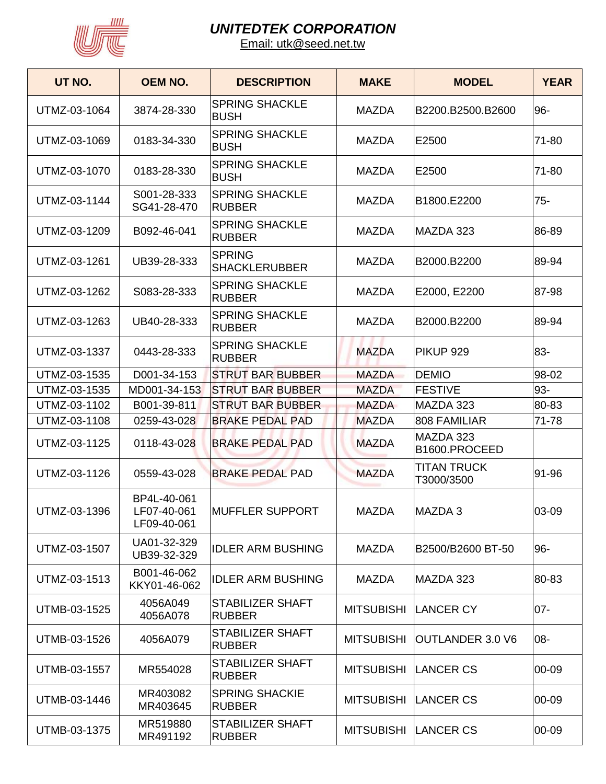

| UT NO.       | <b>OEM NO.</b>                            | <b>DESCRIPTION</b>                       | <b>MAKE</b>       | <b>MODEL</b>                     | <b>YEAR</b> |
|--------------|-------------------------------------------|------------------------------------------|-------------------|----------------------------------|-------------|
| UTMZ-03-1064 | 3874-28-330                               | <b>SPRING SHACKLE</b><br><b>BUSH</b>     | <b>MAZDA</b>      | B2200.B2500.B2600                | 96-         |
| UTMZ-03-1069 | 0183-34-330                               | <b>SPRING SHACKLE</b><br><b>BUSH</b>     | <b>MAZDA</b>      | E2500                            | 71-80       |
| UTMZ-03-1070 | 0183-28-330                               | <b>SPRING SHACKLE</b><br><b>BUSH</b>     | <b>MAZDA</b>      | E2500                            | 71-80       |
| UTMZ-03-1144 | S001-28-333<br>SG41-28-470                | <b>SPRING SHACKLE</b><br><b>RUBBER</b>   | <b>MAZDA</b>      | B1800.E2200                      | $75 -$      |
| UTMZ-03-1209 | B092-46-041                               | <b>SPRING SHACKLE</b><br><b>RUBBER</b>   | <b>MAZDA</b>      | MAZDA 323                        | 86-89       |
| UTMZ-03-1261 | UB39-28-333                               | <b>SPRING</b><br><b>SHACKLERUBBER</b>    | <b>MAZDA</b>      | B2000.B2200                      | 89-94       |
| UTMZ-03-1262 | S083-28-333                               | <b>SPRING SHACKLE</b><br><b>RUBBER</b>   | <b>MAZDA</b>      | E2000, E2200                     | 87-98       |
| UTMZ-03-1263 | UB40-28-333                               | <b>SPRING SHACKLE</b><br><b>RUBBER</b>   | <b>MAZDA</b>      | B2000.B2200                      | 89-94       |
| UTMZ-03-1337 | 0443-28-333                               | <b>SPRING SHACKLE</b><br><b>RUBBER</b>   | <b>MAZDA</b>      | PIKUP 929                        | 83-         |
| UTMZ-03-1535 | D001-34-153                               | <b>STRUT BAR BUBBER</b>                  | <b>MAZDA</b>      | <b>DEMIO</b>                     | 98-02       |
| UTMZ-03-1535 | MD001-34-153                              | <b>STRUT BAR BUBBER</b>                  | <b>MAZDA</b>      | <b>FESTIVE</b>                   | 93-         |
| UTMZ-03-1102 | B001-39-811                               | <b>STRUT BAR BUBBER</b>                  | <b>MAZDA</b>      | MAZDA 323                        | 80-83       |
| UTMZ-03-1108 | 0259-43-028                               | <b>BRAKE PEDAL PAD</b>                   | <b>MAZDA</b>      | 808 FAMILIAR                     | 71-78       |
| UTMZ-03-1125 | 0118-43-028                               | <b>BRAKE PEDAL PAD</b>                   | <b>MAZDA</b>      | MAZDA 323<br>B1600.PROCEED       |             |
| UTMZ-03-1126 | 0559-43-028                               | <b>BRAKE PEDAL PAD</b>                   | <b>MAZDA</b>      | <b>TITAN TRUCK</b><br>T3000/3500 | 91-96       |
| UTMZ-03-1396 | BP4L-40-061<br>LF07-40-061<br>LF09-40-061 | <b>MUFFLER SUPPORT</b>                   | <b>MAZDA</b>      | MAZDA 3                          | 03-09       |
| UTMZ-03-1507 | UA01-32-329<br>UB39-32-329                | <b>IDLER ARM BUSHING</b>                 | <b>MAZDA</b>      | B2500/B2600 BT-50                | $96-$       |
| UTMZ-03-1513 | B001-46-062<br>KKY01-46-062               | <b>IDLER ARM BUSHING</b>                 | <b>MAZDA</b>      | MAZDA 323                        | 80-83       |
| UTMB-03-1525 | 4056A049<br>4056A078                      | STABILIZER SHAFT<br><b>RUBBER</b>        | <b>MITSUBISHI</b> | <b>LANCER CY</b>                 | $07 -$      |
| UTMB-03-1526 | 4056A079                                  | STABILIZER SHAFT<br><b>RUBBER</b>        | <b>MITSUBISHI</b> | OUTLANDER 3.0 V6                 | -08         |
| UTMB-03-1557 | MR554028                                  | <b>STABILIZER SHAFT</b><br><b>RUBBER</b> | <b>MITSUBISHI</b> | LANCER CS                        | 00-09       |
| UTMB-03-1446 | MR403082<br>MR403645                      | <b>SPRING SHACKIE</b><br><b>RUBBER</b>   |                   | MITSUBISHI LANCER CS             | 00-09       |
| UTMB-03-1375 | MR519880<br>MR491192                      | STABILIZER SHAFT<br><b>RUBBER</b>        |                   | MITSUBISHI LANCER CS             | 00-09       |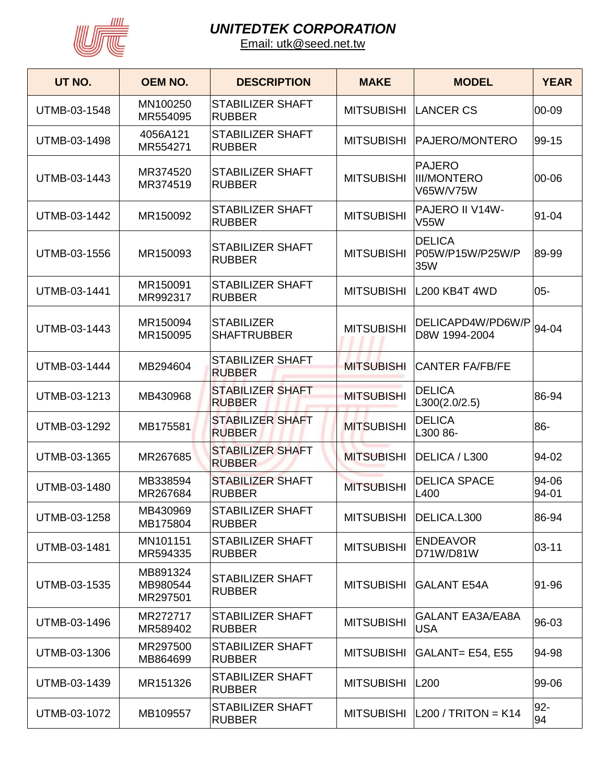

| UT NO.       | <b>OEM NO.</b>                   | <b>DESCRIPTION</b>                       | <b>MAKE</b>       | <b>MODEL</b>                                     | <b>YEAR</b>    |
|--------------|----------------------------------|------------------------------------------|-------------------|--------------------------------------------------|----------------|
| UTMB-03-1548 | MN100250<br>MR554095             | <b>STABILIZER SHAFT</b><br><b>RUBBER</b> | <b>MITSUBISHI</b> | <b>LANCER CS</b>                                 | 00-09          |
| UTMB-03-1498 | 4056A121<br>MR554271             | <b>STABILIZER SHAFT</b><br><b>RUBBER</b> | <b>MITSUBISHI</b> | PAJERO/MONTERO                                   | 99-15          |
| UTMB-03-1443 | MR374520<br>MR374519             | <b>STABILIZER SHAFT</b><br><b>RUBBER</b> | <b>MITSUBISHI</b> | <b>PAJERO</b><br><b>III/MONTERO</b><br>V65W/V75W | 00-06          |
| UTMB-03-1442 | MR150092                         | <b>STABILIZER SHAFT</b><br><b>RUBBER</b> | <b>MITSUBISHI</b> | PAJERO II V14W-<br><b>V55W</b>                   | 91-04          |
| UTMB-03-1556 | MR150093                         | <b>STABILIZER SHAFT</b><br><b>RUBBER</b> | <b>MITSUBISHI</b> | <b>DELICA</b><br>P05W/P15W/P25W/P<br>35W         | 89-99          |
| UTMB-03-1441 | MR150091<br>MR992317             | <b>STABILIZER SHAFT</b><br><b>RUBBER</b> | <b>MITSUBISHI</b> | L200 KB4T 4WD                                    | $05 -$         |
| UTMB-03-1443 | MR150094<br>MR150095             | <b>STABILIZER</b><br><b>SHAFTRUBBER</b>  | <b>MITSUBISHI</b> | DELICAPD4W/PD6W/P<br>D8W 1994-2004               | 94-04          |
| UTMB-03-1444 | MB294604                         | <b>STABILIZER SHAFT</b><br><b>RUBBER</b> | <b>MITSUBISHI</b> | <b>CANTER FA/FB/FE</b>                           |                |
| UTMB-03-1213 | MB430968                         | <b>STABILIZER SHAFT</b><br><b>RUBBER</b> | <b>MITSUBISHI</b> | <b>DELICA</b><br>L300(2.0/2.5)                   | 86-94          |
| UTMB-03-1292 | MB175581                         | <b>STABILIZER SHAFT</b><br><b>RUBBER</b> | <b>MITSUBISHI</b> | <b>DELICA</b><br>L300 86-                        | 86-            |
| UTMB-03-1365 | MR267685                         | <b>STABILIZER SHAFT</b><br><b>RUBBER</b> | <b>MITSUBISHI</b> | DELICA / L300                                    | 94-02          |
| UTMB-03-1480 | MB338594<br>MR267684             | <b>STABILIZER SHAFT</b><br><b>RUBBER</b> | <b>MITSUBISHI</b> | <b>DELICA SPACE</b><br>L400                      | 94-06<br>94-01 |
| UTMB-03-1258 | MB430969<br>MB175804             | STABILIZER SHAFT<br><b>RUBBER</b>        | <b>MITSUBISHI</b> | DELICA.L300                                      | 86-94          |
| UTMB-03-1481 | MN101151<br>MR594335             | <b>STABILIZER SHAFT</b><br><b>RUBBER</b> | <b>MITSUBISHI</b> | <b>ENDEAVOR</b><br>D71W/D81W                     | $03 - 11$      |
| UTMB-03-1535 | MB891324<br>MB980544<br>MR297501 | <b>STABILIZER SHAFT</b><br><b>RUBBER</b> | <b>MITSUBISHI</b> | <b>GALANT E54A</b>                               | 91-96          |
| UTMB-03-1496 | MR272717<br>MR589402             | STABILIZER SHAFT<br><b>RUBBER</b>        | <b>MITSUBISHI</b> | <b>GALANT EA3A/EA8A</b><br><b>USA</b>            | 96-03          |
| UTMB-03-1306 | MR297500<br>MB864699             | <b>STABILIZER SHAFT</b><br><b>RUBBER</b> | <b>MITSUBISHI</b> | GALANT= E54, E55                                 | 94-98          |
| UTMB-03-1439 | MR151326                         | STABILIZER SHAFT<br><b>RUBBER</b>        | <b>MITSUBISHI</b> | L200                                             | 99-06          |
| UTMB-03-1072 | MB109557                         | <b>STABILIZER SHAFT</b><br><b>RUBBER</b> | <b>MITSUBISHI</b> | $ L200 / TRITON = K14$                           | 92-<br>94      |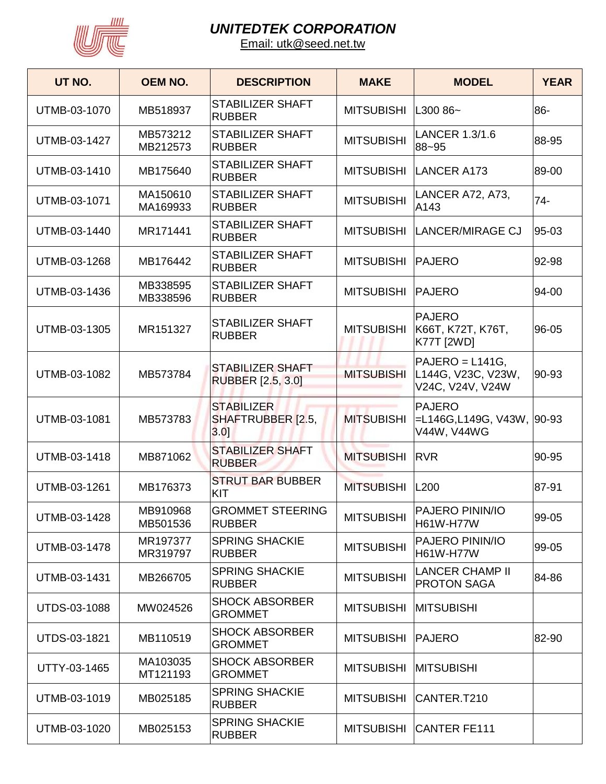

| UT NO.       | <b>OEM NO.</b>       | <b>DESCRIPTION</b>                            | <b>MAKE</b>       | <b>MODEL</b>                                                 | <b>YEAR</b> |
|--------------|----------------------|-----------------------------------------------|-------------------|--------------------------------------------------------------|-------------|
| UTMB-03-1070 | MB518937             | <b>STABILIZER SHAFT</b><br><b>RUBBER</b>      | <b>MITSUBISHI</b> | L300 86~                                                     | 86-         |
| UTMB-03-1427 | MB573212<br>MB212573 | <b>STABILIZER SHAFT</b><br><b>RUBBER</b>      | <b>MITSUBISHI</b> | LANCER 1.3/1.6<br>88~95                                      | 88-95       |
| UTMB-03-1410 | MB175640             | <b>STABILIZER SHAFT</b><br><b>RUBBER</b>      | <b>MITSUBISHI</b> | <b>LANCER A173</b>                                           | 89-00       |
| UTMB-03-1071 | MA150610<br>MA169933 | <b>STABILIZER SHAFT</b><br><b>RUBBER</b>      | <b>MITSUBISHI</b> | LANCER A72, A73,<br>A143                                     | $74-$       |
| UTMB-03-1440 | MR171441             | <b>STABILIZER SHAFT</b><br><b>RUBBER</b>      | <b>MITSUBISHI</b> | <b>LANCER/MIRAGE CJ</b>                                      | 95-03       |
| UTMB-03-1268 | MB176442             | <b>STABILIZER SHAFT</b><br><b>RUBBER</b>      | <b>MITSUBISHI</b> | <b>PAJERO</b>                                                | 92-98       |
| UTMB-03-1436 | MB338595<br>MB338596 | <b>STABILIZER SHAFT</b><br><b>RUBBER</b>      | <b>MITSUBISHI</b> | <b>PAJERO</b>                                                | 94-00       |
| UTMB-03-1305 | MR151327             | <b>STABILIZER SHAFT</b><br><b>RUBBER</b>      | <b>MITSUBISHI</b> | <b>PAJERO</b><br>K66T, K72T, K76T,<br><b>K77T [2WD]</b>      | 96-05       |
| UTMB-03-1082 | MB573784             | <b>STABILIZER SHAFT</b><br>RUBBER [2.5, 3.0]  | <b>MITSUBISHI</b> | $PAJERO = L141G,$<br>L144G, V23C, V23W,<br>V24C, V24V, V24W  | 90-93       |
| UTMB-03-1081 | MB573783             | <b>STABILIZER</b><br>SHAFTRUBBER [2.5,<br>3.0 | <b>MITSUBISHI</b> | <b>PAJERO</b><br>$=$ L146G,L149G, V43W, 90-93<br>V44W, V44WG |             |
| UTMB-03-1418 | MB871062             | <b>STABILIZER SHAFT</b><br><b>RUBBER</b>      | <b>MITSUBISHI</b> | <b>RVR</b>                                                   | 90-95       |
| UTMB-03-1261 | MB176373             | <b>STRUT BAR BUBBER</b><br>KIT                | <b>MITSUBISHI</b> | L200                                                         | 87-91       |
| UTMB-03-1428 | MB910968<br>MB501536 | <b>GROMMET STEERING</b><br><b>RUBBER</b>      | <b>MITSUBISHI</b> | PAJERO PININ/IO<br>H61W-H77W                                 | 99-05       |
| UTMB-03-1478 | MR197377<br>MR319797 | <b>SPRING SHACKIE</b><br><b>RUBBER</b>        | <b>MITSUBISHI</b> | PAJERO PININ/IO<br>H61W-H77W                                 | 99-05       |
| UTMB-03-1431 | MB266705             | <b>SPRING SHACKIE</b><br><b>RUBBER</b>        | <b>MITSUBISHI</b> | <b>LANCER CHAMP II</b><br><b>PROTON SAGA</b>                 | 84-86       |
| UTDS-03-1088 | MW024526             | <b>SHOCK ABSORBER</b><br><b>GROMMET</b>       | <b>MITSUBISHI</b> | <b>MITSUBISHI</b>                                            |             |
| UTDS-03-1821 | MB110519             | <b>SHOCK ABSORBER</b><br><b>GROMMET</b>       | <b>MITSUBISHI</b> | <b>PAJERO</b>                                                | 82-90       |
| UTTY-03-1465 | MA103035<br>MT121193 | <b>SHOCK ABSORBER</b><br><b>GROMMET</b>       | <b>MITSUBISHI</b> | <b>MITSUBISHI</b>                                            |             |
| UTMB-03-1019 | MB025185             | <b>SPRING SHACKIE</b><br><b>RUBBER</b>        | <b>MITSUBISHI</b> | CANTER.T210                                                  |             |
| UTMB-03-1020 | MB025153             | <b>SPRING SHACKIE</b><br><b>RUBBER</b>        | <b>MITSUBISHI</b> | <b>CANTER FE111</b>                                          |             |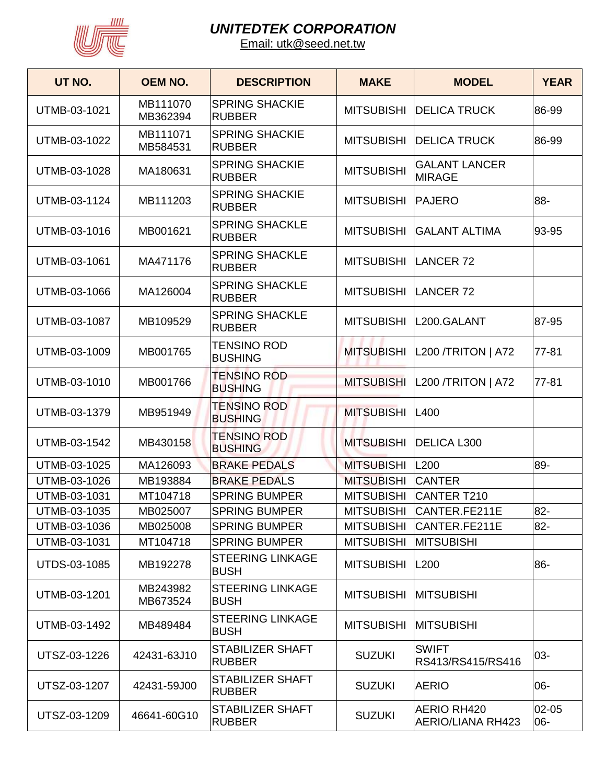

| UT NO.       | <b>OEM NO.</b>       | <b>DESCRIPTION</b>                       | <b>MAKE</b>       | <b>MODEL</b>                            | <b>YEAR</b>  |
|--------------|----------------------|------------------------------------------|-------------------|-----------------------------------------|--------------|
| UTMB-03-1021 | MB111070<br>MB362394 | <b>SPRING SHACKIE</b><br><b>RUBBER</b>   | <b>MITSUBISHI</b> | <b>DELICA TRUCK</b>                     | 86-99        |
| UTMB-03-1022 | MB111071<br>MB584531 | <b>SPRING SHACKIE</b><br><b>RUBBER</b>   | <b>MITSUBISHI</b> | <b>DELICA TRUCK</b>                     | 86-99        |
| UTMB-03-1028 | MA180631             | <b>SPRING SHACKIE</b><br><b>RUBBER</b>   | <b>MITSUBISHI</b> | <b>GALANT LANCER</b><br><b>MIRAGE</b>   |              |
| UTMB-03-1124 | MB111203             | <b>SPRING SHACKIE</b><br><b>RUBBER</b>   | <b>MITSUBISHI</b> | <b>IPAJERO</b>                          | 88-          |
| UTMB-03-1016 | MB001621             | <b>SPRING SHACKLE</b><br><b>RUBBER</b>   | <b>MITSUBISHI</b> | <b>GALANT ALTIMA</b>                    | 93-95        |
| UTMB-03-1061 | MA471176             | <b>SPRING SHACKLE</b><br><b>RUBBER</b>   | <b>MITSUBISHI</b> | LANCER <sub>72</sub>                    |              |
| UTMB-03-1066 | MA126004             | <b>SPRING SHACKLE</b><br><b>RUBBER</b>   | <b>MITSUBISHI</b> | LANCER <sub>72</sub>                    |              |
| UTMB-03-1087 | MB109529             | <b>SPRING SHACKLE</b><br><b>RUBBER</b>   | <b>MITSUBISHI</b> | L200.GALANT                             | 87-95        |
| UTMB-03-1009 | MB001765             | <b>TENSINO ROD</b><br><b>BUSHING</b>     | <b>MITSUBISHI</b> | $ L200 / TRITON $ A72                   | $77 - 81$    |
| UTMB-03-1010 | MB001766             | <b>TENSINO ROD</b><br><b>BUSHING</b>     | <b>MITSUBISHI</b> | <b>L200 /TRITON   A72</b>               | $77 - 81$    |
| UTMB-03-1379 | MB951949             | <b>TENSINO ROD</b><br><b>BUSHING</b>     | <b>MITSUBISHI</b> | <b>L400</b>                             |              |
| UTMB-03-1542 | MB430158             | <b>TENSINO ROD</b><br><b>BUSHING</b>     | <b>MITSUBISHI</b> | <b>DELICA L300</b>                      |              |
| UTMB-03-1025 | MA126093             | <b>BRAKE PEDALS</b>                      | <b>MITSUBISHI</b> | L200                                    | 89-          |
| UTMB-03-1026 | MB193884             | <b>BRAKE PEDALS</b>                      | <b>MITSUBISHI</b> | <b>CANTER</b>                           |              |
| UTMB-03-1031 | MT104718             | <b>SPRING BUMPER</b>                     | <b>MITSUBISHI</b> | <b>CANTER T210</b>                      |              |
| UTMB-03-1035 | MB025007             | <b>SPRING BUMPER</b>                     | <b>MITSUBISHI</b> | CANTER.FE211E                           | $82 -$       |
| UTMB-03-1036 | MB025008             | <b>SPRING BUMPER</b>                     | <b>MITSUBISHI</b> | CANTER.FE211E                           | $82 -$       |
| UTMB-03-1031 | MT104718             | <b>SPRING BUMPER</b>                     | <b>MITSUBISHI</b> | <b>MITSUBISHI</b>                       |              |
| UTDS-03-1085 | MB192278             | <b>STEERING LINKAGE</b><br><b>BUSH</b>   | <b>MITSUBISHI</b> | L200                                    | 86-          |
| UTMB-03-1201 | MB243982<br>MB673524 | <b>STEERING LINKAGE</b><br><b>BUSH</b>   | <b>MITSUBISHI</b> | <b>MITSUBISHI</b>                       |              |
| UTMB-03-1492 | MB489484             | <b>STEERING LINKAGE</b><br><b>BUSH</b>   | <b>MITSUBISHI</b> | <b>MITSUBISHI</b>                       |              |
| UTSZ-03-1226 | 42431-63J10          | <b>STABILIZER SHAFT</b><br><b>RUBBER</b> | <b>SUZUKI</b>     | <b>SWIFT</b><br>RS413/RS415/RS416       | 03-          |
| UTSZ-03-1207 | 42431-59J00          | STABILIZER SHAFT<br><b>RUBBER</b>        | <b>SUZUKI</b>     | <b>AERIO</b>                            | 06-          |
| UTSZ-03-1209 | 46641-60G10          | <b>STABILIZER SHAFT</b><br><b>RUBBER</b> | <b>SUZUKI</b>     | AERIO RH420<br><b>AERIO/LIANA RH423</b> | 02-05<br>06- |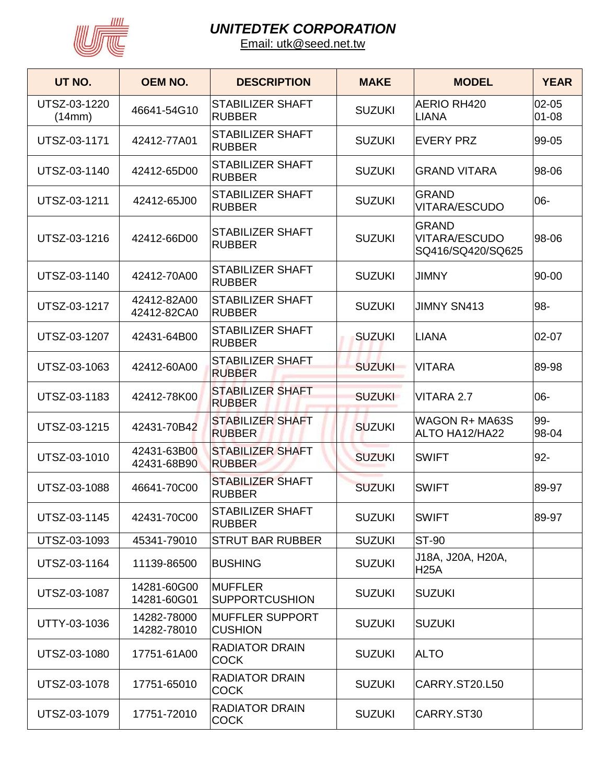

| UT NO.                 | <b>OEM NO.</b>             | <b>DESCRIPTION</b>                       | <b>MAKE</b>   | <b>MODEL</b>                                       | <b>YEAR</b>            |
|------------------------|----------------------------|------------------------------------------|---------------|----------------------------------------------------|------------------------|
| UTSZ-03-1220<br>(14mm) | 46641-54G10                | STABILIZER SHAFT<br><b>RUBBER</b>        | <b>SUZUKI</b> | AERIO RH420<br><b>LIANA</b>                        | $02 - 05$<br>$01 - 08$ |
| UTSZ-03-1171           | 42412-77A01                | <b>STABILIZER SHAFT</b><br><b>RUBBER</b> | <b>SUZUKI</b> | <b>EVERY PRZ</b>                                   | 99-05                  |
| UTSZ-03-1140           | 42412-65D00                | <b>STABILIZER SHAFT</b><br><b>RUBBER</b> | <b>SUZUKI</b> | <b>GRAND VITARA</b>                                | 98-06                  |
| UTSZ-03-1211           | 42412-65J00                | <b>STABILIZER SHAFT</b><br><b>RUBBER</b> | <b>SUZUKI</b> | <b>GRAND</b><br>VITARA/ESCUDO                      | 06-                    |
| UTSZ-03-1216           | 42412-66D00                | <b>STABILIZER SHAFT</b><br><b>RUBBER</b> | <b>SUZUKI</b> | <b>GRAND</b><br>VITARA/ESCUDO<br>SQ416/SQ420/SQ625 | 98-06                  |
| UTSZ-03-1140           | 42412-70A00                | <b>STABILIZER SHAFT</b><br><b>RUBBER</b> | <b>SUZUKI</b> | <b>JIMNY</b>                                       | 90-00                  |
| UTSZ-03-1217           | 42412-82A00<br>42412-82CA0 | <b>STABILIZER SHAFT</b><br><b>RUBBER</b> | <b>SUZUKI</b> | <b>JIMNY SN413</b>                                 | 98-                    |
| UTSZ-03-1207           | 42431-64B00                | <b>STABILIZER SHAFT</b><br><b>RUBBER</b> | <b>SUZUKI</b> | <b>LIANA</b>                                       | $02 - 07$              |
| UTSZ-03-1063           | 42412-60A00                | <b>STABILIZER SHAFT</b><br><b>RUBBER</b> | <b>SUZUKI</b> | <b>VITARA</b>                                      | 89-98                  |
| UTSZ-03-1183           | 42412-78K00                | <b>STABILIZER SHAFT</b><br><b>RUBBER</b> | <b>SUZUKI</b> | VITARA 2.7                                         | 06-                    |
| UTSZ-03-1215           | 42431-70B42                | <b>STABILIZER SHAFT</b><br><b>RUBBER</b> | <b>SUZUKI</b> | WAGON R+ MA63S<br>ALTO HA12/HA22                   | 99-<br>98-04           |
| UTSZ-03-1010           | 42431-63B00<br>42431-68B90 | <b>STABILIZER SHAFT</b><br><b>RUBBER</b> | <b>SUZUKI</b> | <b>SWIFT</b>                                       | $92 -$                 |
| UTSZ-03-1088           | 46641-70C00                | <b>STABILIZER SHAFT</b><br><b>RUBBER</b> | <b>SUZUKI</b> | <b>SWIFT</b>                                       | 89-97                  |
| UTSZ-03-1145           | 42431-70C00                | STABILIZER SHAFT<br><b>RUBBER</b>        | <b>SUZUKI</b> | <b>SWIFT</b>                                       | 89-97                  |
| UTSZ-03-1093           | 45341-79010                | <b>STRUT BAR RUBBER</b>                  | <b>SUZUKI</b> | <b>ST-90</b>                                       |                        |
| UTSZ-03-1164           | 11139-86500                | <b>BUSHING</b>                           | <b>SUZUKI</b> | J18A, J20A, H20A,<br><b>H25A</b>                   |                        |
| UTSZ-03-1087           | 14281-60G00<br>14281-60G01 | <b>MUFFLER</b><br><b>SUPPORTCUSHION</b>  | <b>SUZUKI</b> | <b>SUZUKI</b>                                      |                        |
| UTTY-03-1036           | 14282-78000<br>14282-78010 | <b>MUFFLER SUPPORT</b><br><b>CUSHION</b> | <b>SUZUKI</b> | <b>SUZUKI</b>                                      |                        |
| UTSZ-03-1080           | 17751-61A00                | <b>RADIATOR DRAIN</b><br><b>COCK</b>     | <b>SUZUKI</b> | <b>ALTO</b>                                        |                        |
| UTSZ-03-1078           | 17751-65010                | <b>RADIATOR DRAIN</b><br>COCK            | <b>SUZUKI</b> | CARRY.ST20.L50                                     |                        |
| UTSZ-03-1079           | 17751-72010                | <b>RADIATOR DRAIN</b><br><b>COCK</b>     | <b>SUZUKI</b> | CARRY.ST30                                         |                        |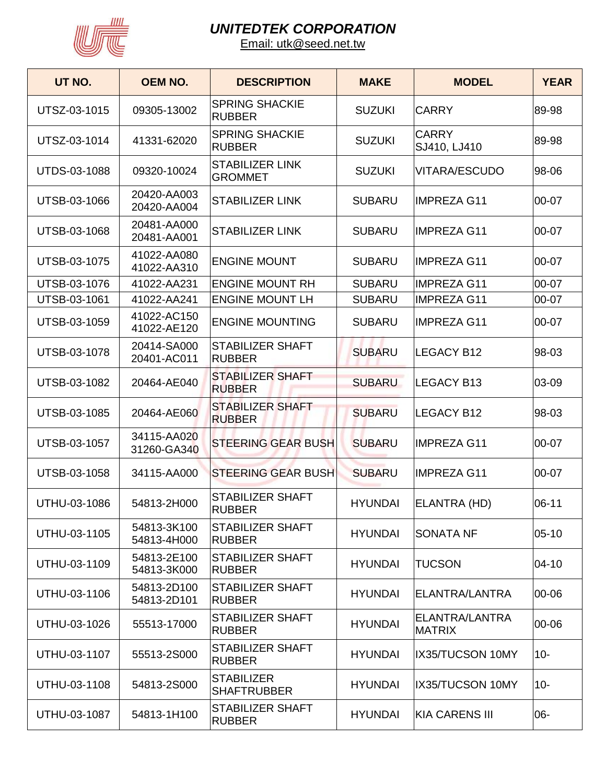

| UT NO.              | <b>OEM NO.</b>             | <b>DESCRIPTION</b>                       | <b>MAKE</b>    | <b>MODEL</b>                    | <b>YEAR</b> |
|---------------------|----------------------------|------------------------------------------|----------------|---------------------------------|-------------|
| UTSZ-03-1015        | 09305-13002                | <b>SPRING SHACKIE</b><br><b>RUBBER</b>   | <b>SUZUKI</b>  | <b>CARRY</b>                    | 89-98       |
| UTSZ-03-1014        | 41331-62020                | <b>SPRING SHACKIE</b><br><b>RUBBER</b>   | <b>SUZUKI</b>  | <b>CARRY</b><br>SJ410, LJ410    | 89-98       |
| <b>UTDS-03-1088</b> | 09320-10024                | <b>STABILIZER LINK</b><br><b>GROMMET</b> | <b>SUZUKI</b>  | <b>VITARA/ESCUDO</b>            | 98-06       |
| UTSB-03-1066        | 20420-AA003<br>20420-AA004 | <b>STABILIZER LINK</b>                   | <b>SUBARU</b>  | IMPREZA G11                     | 00-07       |
| UTSB-03-1068        | 20481-AA000<br>20481-AA001 | <b>STABILIZER LINK</b>                   | <b>SUBARU</b>  | <b>IMPREZA G11</b>              | 00-07       |
| UTSB-03-1075        | 41022-AA080<br>41022-AA310 | <b>ENGINE MOUNT</b>                      | <b>SUBARU</b>  | <b>IMPREZA G11</b>              | 00-07       |
| UTSB-03-1076        | 41022-AA231                | <b>ENGINE MOUNT RH</b>                   | <b>SUBARU</b>  | <b>IMPREZA G11</b>              | 00-07       |
| UTSB-03-1061        | 41022-AA241                | <b>ENGINE MOUNT LH</b>                   | <b>SUBARU</b>  | <b>IMPREZA G11</b>              | 00-07       |
| UTSB-03-1059        | 41022-AC150<br>41022-AE120 | <b>ENGINE MOUNTING</b>                   | <b>SUBARU</b>  | <b>IMPREZA G11</b>              | 00-07       |
| UTSB-03-1078        | 20414-SA000<br>20401-AC011 | <b>STABILIZER SHAFT</b><br><b>RUBBER</b> | <b>SUBARU</b>  | <b>LEGACY B12</b>               | 98-03       |
| UTSB-03-1082        | 20464-AE040                | <b>STABILIZER SHAFT</b><br><b>RUBBER</b> | <b>SUBARU</b>  | <b>LEGACY B13</b>               | 03-09       |
| <b>UTSB-03-1085</b> | 20464-AE060                | <b>STABILIZER SHAFT</b><br><b>RUBBER</b> | <b>SUBARU</b>  | <b>LEGACY B12</b>               | 98-03       |
| UTSB-03-1057        | 34115-AA020<br>31260-GA340 | <b>STEERING GEAR BUSH</b>                | <b>SUBARU</b>  | <b>IMPREZA G11</b>              | 00-07       |
| UTSB-03-1058        | 34115-AA000                | <b>STEERING GEAR BUSH</b>                | <b>SUBARU</b>  | <b>IMPREZA G11</b>              | 00-07       |
| UTHU-03-1086        | 54813-2H000                | <b>STABILIZER SHAFT</b><br>RUBBER        | <b>HYUNDAI</b> | ELANTRA (HD)                    | 06-11       |
| UTHU-03-1105        | 54813-3K100<br>54813-4H000 | <b>STABILIZER SHAFT</b><br><b>RUBBER</b> | <b>HYUNDAI</b> | <b>SONATA NF</b>                | 05-10       |
| UTHU-03-1109        | 54813-2E100<br>54813-3K000 | <b>STABILIZER SHAFT</b><br><b>RUBBER</b> | <b>HYUNDAI</b> | <b>TUCSON</b>                   | $ 04 - 10 $ |
| UTHU-03-1106        | 54813-2D100<br>54813-2D101 | <b>STABILIZER SHAFT</b><br><b>RUBBER</b> | <b>HYUNDAI</b> | ELANTRA/LANTRA                  | 00-06       |
| UTHU-03-1026        | 55513-17000                | STABILIZER SHAFT<br><b>RUBBER</b>        | <b>HYUNDAI</b> | ELANTRA/LANTRA<br><b>MATRIX</b> | 00-06       |
| UTHU-03-1107        | 55513-2S000                | <b>STABILIZER SHAFT</b><br><b>RUBBER</b> | <b>HYUNDAI</b> | IX35/TUCSON 10MY                | $10 -$      |
| UTHU-03-1108        | 54813-2S000                | <b>STABILIZER</b><br><b>SHAFTRUBBER</b>  | <b>HYUNDAI</b> | IX35/TUCSON 10MY                | $10-$       |
| UTHU-03-1087        | 54813-1H100                | <b>STABILIZER SHAFT</b><br><b>RUBBER</b> | <b>HYUNDAI</b> | KIA CARENS III                  | 06-         |